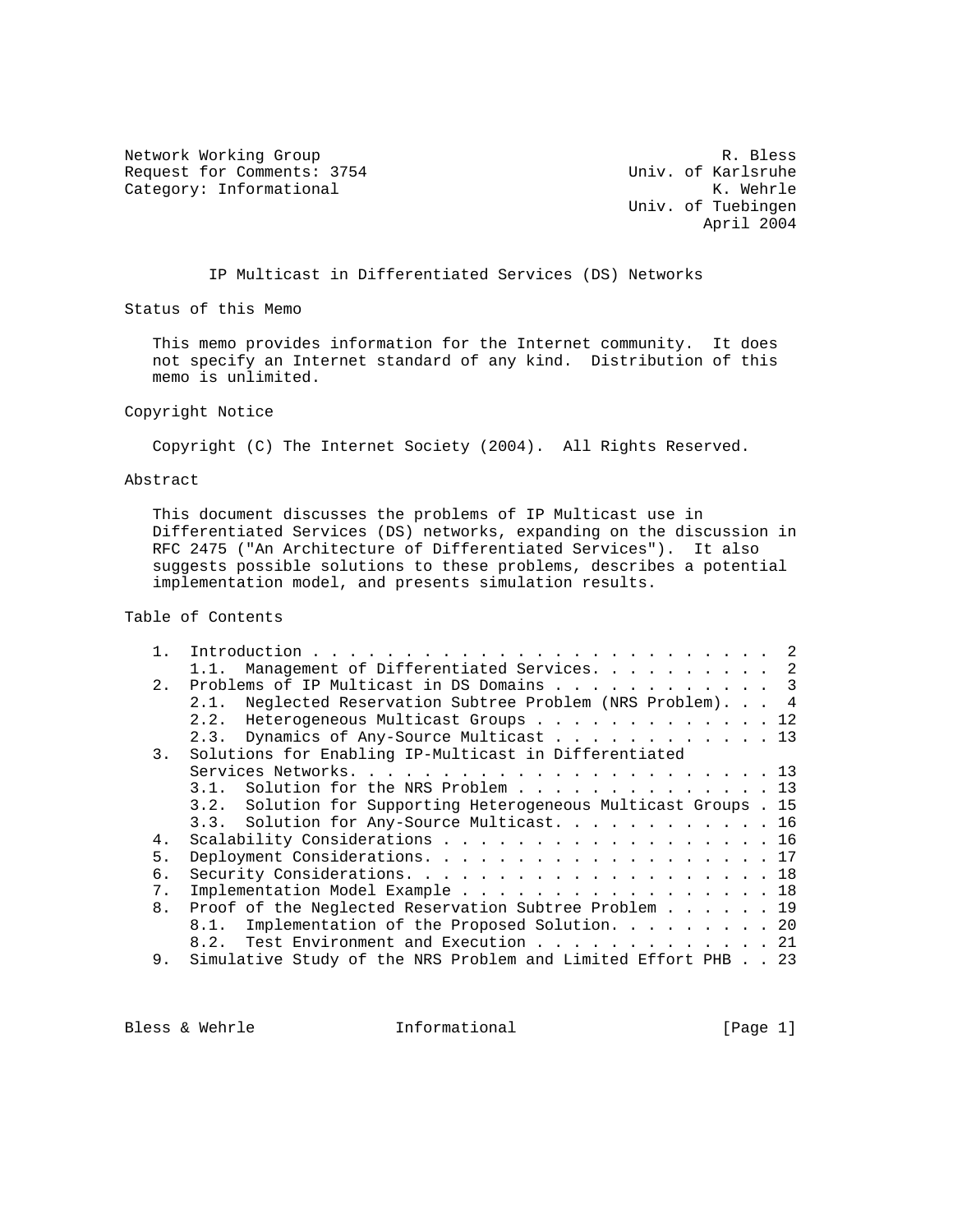Network Working Group<br>R. Bless Request for Comments: 3754 (Notice 2011) Univ. of Karlsruhe Request for Comments: 3754 Univ. of Karlsruhe<br>Category: Informational M. Wehrle Category: Informational

 Univ. of Tuebingen April 2004

IP Multicast in Differentiated Services (DS) Networks

Status of this Memo

 This memo provides information for the Internet community. It does not specify an Internet standard of any kind. Distribution of this memo is unlimited.

Copyright Notice

Copyright (C) The Internet Society (2004). All Rights Reserved.

Abstract

 This document discusses the problems of IP Multicast use in Differentiated Services (DS) networks, expanding on the discussion in RFC 2475 ("An Architecture of Differentiated Services"). It also suggests possible solutions to these problems, describes a potential implementation model, and presents simulation results.

Table of Contents

|                | Management of Differentiated Services. 2<br>1.1.                 |
|----------------|------------------------------------------------------------------|
| 2.             | Problems of IP Multicast in DS Domains 3                         |
|                | 2.1. Neglected Reservation Subtree Problem (NRS Problem). 4      |
|                | 2.2. Heterogeneous Multicast Groups 12                           |
|                | 2.3. Dynamics of Any-Source Multicast 13                         |
| 3.             | Solutions for Enabling IP-Multicast in Differentiated            |
|                |                                                                  |
|                | 3.1. Solution for the NRS Problem 13                             |
|                | 3.2. Solution for Supporting Heterogeneous Multicast Groups . 15 |
|                | 3.3. Solution for Any-Source Multicast. 16                       |
| 4.             | Scalability Considerations 16                                    |
| 5.             | Deployment Considerations. 17                                    |
| б.             |                                                                  |
| $7$ .          | Implementation Model Example 18                                  |
| 8 <sub>1</sub> | Proof of the Neglected Reservation Subtree Problem 19            |
|                | 8.1. Implementation of the Proposed Solution. 20                 |
|                | 8.2. Test Environment and Execution 21                           |
| 9.             | Simulative Study of the NRS Problem and Limited Effort PHB 23    |
|                |                                                                  |

Bless & Wehrle **Informational** [Page 1]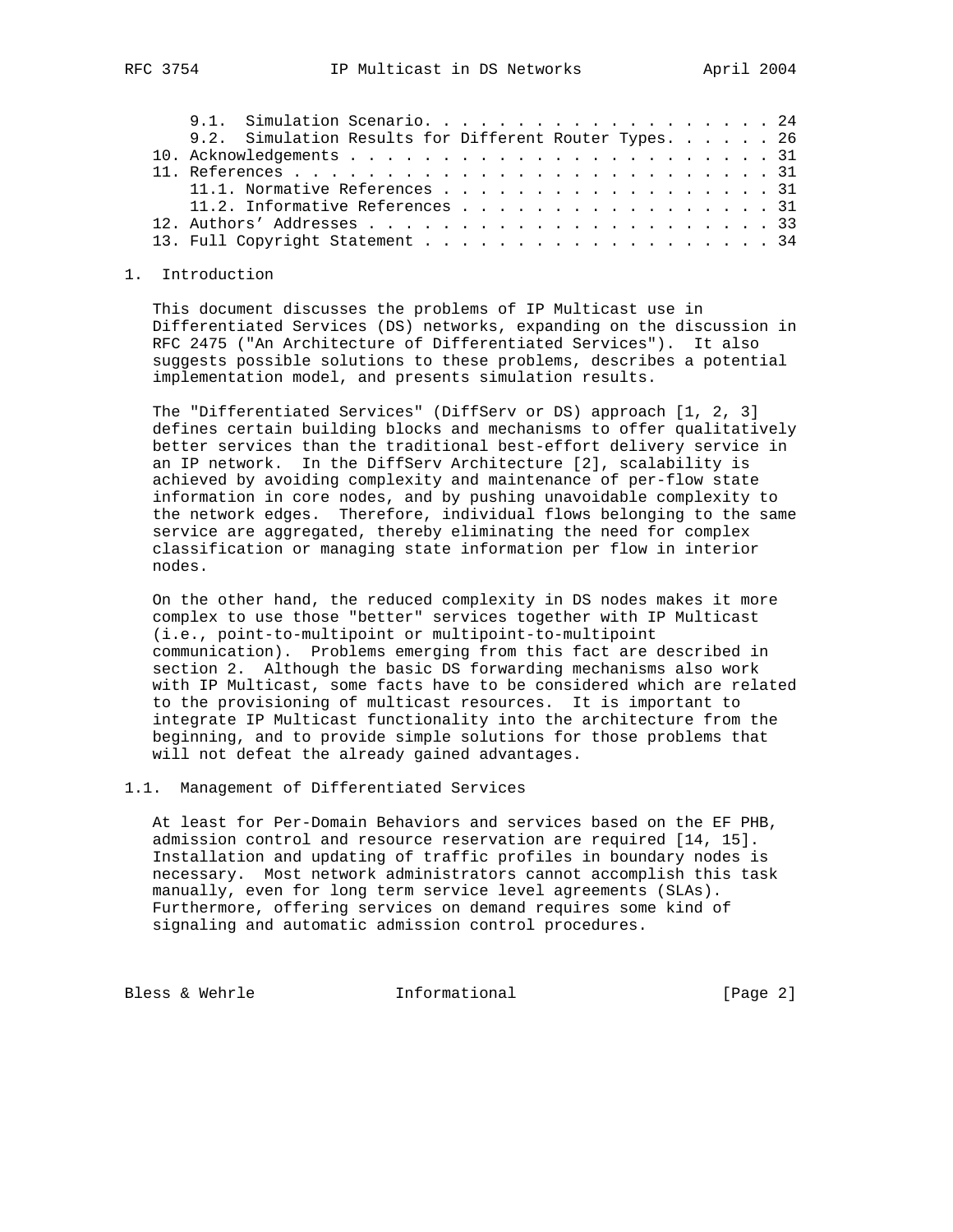|  | 9.1. Simulation Scenario. 24                           |  |  |  |  |  |  |  |  |  |  |
|--|--------------------------------------------------------|--|--|--|--|--|--|--|--|--|--|
|  | 9.2. Simulation Results for Different Router Types. 26 |  |  |  |  |  |  |  |  |  |  |
|  |                                                        |  |  |  |  |  |  |  |  |  |  |
|  |                                                        |  |  |  |  |  |  |  |  |  |  |
|  | 11.1. Normative References 31                          |  |  |  |  |  |  |  |  |  |  |
|  | 11.2. Informative References 31                        |  |  |  |  |  |  |  |  |  |  |
|  |                                                        |  |  |  |  |  |  |  |  |  |  |
|  |                                                        |  |  |  |  |  |  |  |  |  |  |
|  |                                                        |  |  |  |  |  |  |  |  |  |  |

#### 1. Introduction

 This document discusses the problems of IP Multicast use in Differentiated Services (DS) networks, expanding on the discussion in RFC 2475 ("An Architecture of Differentiated Services"). It also suggests possible solutions to these problems, describes a potential implementation model, and presents simulation results.

 The "Differentiated Services" (DiffServ or DS) approach [1, 2, 3] defines certain building blocks and mechanisms to offer qualitatively better services than the traditional best-effort delivery service in an IP network. In the DiffServ Architecture [2], scalability is achieved by avoiding complexity and maintenance of per-flow state information in core nodes, and by pushing unavoidable complexity to the network edges. Therefore, individual flows belonging to the same service are aggregated, thereby eliminating the need for complex classification or managing state information per flow in interior nodes.

 On the other hand, the reduced complexity in DS nodes makes it more complex to use those "better" services together with IP Multicast (i.e., point-to-multipoint or multipoint-to-multipoint communication). Problems emerging from this fact are described in section 2. Although the basic DS forwarding mechanisms also work with IP Multicast, some facts have to be considered which are related to the provisioning of multicast resources. It is important to integrate IP Multicast functionality into the architecture from the beginning, and to provide simple solutions for those problems that will not defeat the already gained advantages.

## 1.1. Management of Differentiated Services

 At least for Per-Domain Behaviors and services based on the EF PHB, admission control and resource reservation are required [14, 15]. Installation and updating of traffic profiles in boundary nodes is necessary. Most network administrators cannot accomplish this task manually, even for long term service level agreements (SLAs). Furthermore, offering services on demand requires some kind of signaling and automatic admission control procedures.

Bless & Wehrle **Informational** [Page 2]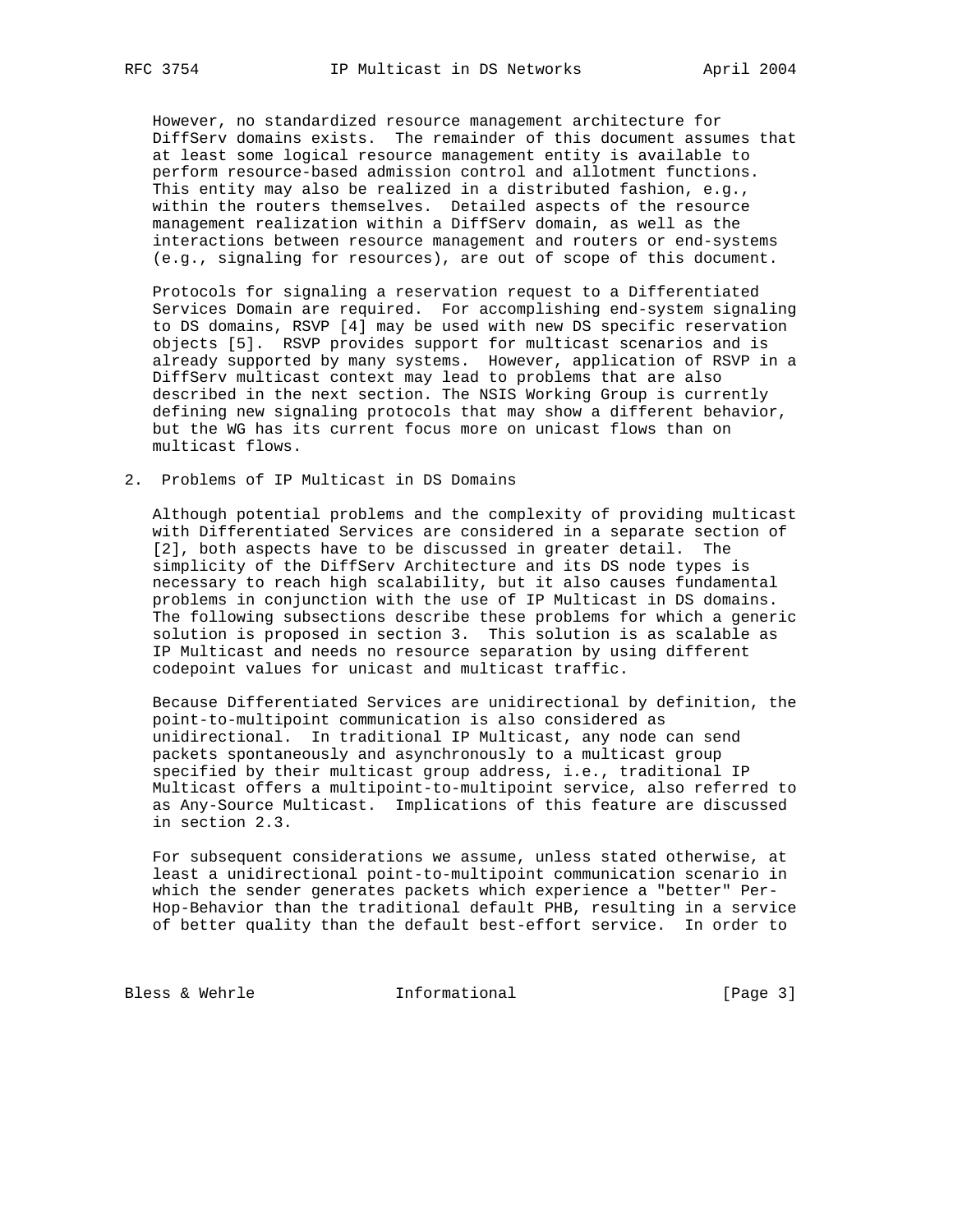However, no standardized resource management architecture for DiffServ domains exists. The remainder of this document assumes that at least some logical resource management entity is available to perform resource-based admission control and allotment functions. This entity may also be realized in a distributed fashion, e.g., within the routers themselves. Detailed aspects of the resource management realization within a DiffServ domain, as well as the interactions between resource management and routers or end-systems (e.g., signaling for resources), are out of scope of this document.

 Protocols for signaling a reservation request to a Differentiated Services Domain are required. For accomplishing end-system signaling to DS domains, RSVP [4] may be used with new DS specific reservation objects [5]. RSVP provides support for multicast scenarios and is already supported by many systems. However, application of RSVP in a DiffServ multicast context may lead to problems that are also described in the next section. The NSIS Working Group is currently defining new signaling protocols that may show a different behavior, but the WG has its current focus more on unicast flows than on multicast flows.

2. Problems of IP Multicast in DS Domains

 Although potential problems and the complexity of providing multicast with Differentiated Services are considered in a separate section of [2], both aspects have to be discussed in greater detail. The simplicity of the DiffServ Architecture and its DS node types is necessary to reach high scalability, but it also causes fundamental problems in conjunction with the use of IP Multicast in DS domains. The following subsections describe these problems for which a generic solution is proposed in section 3. This solution is as scalable as IP Multicast and needs no resource separation by using different codepoint values for unicast and multicast traffic.

 Because Differentiated Services are unidirectional by definition, the point-to-multipoint communication is also considered as unidirectional. In traditional IP Multicast, any node can send packets spontaneously and asynchronously to a multicast group specified by their multicast group address, i.e., traditional IP Multicast offers a multipoint-to-multipoint service, also referred to as Any-Source Multicast. Implications of this feature are discussed in section 2.3.

 For subsequent considerations we assume, unless stated otherwise, at least a unidirectional point-to-multipoint communication scenario in which the sender generates packets which experience a "better" Per- Hop-Behavior than the traditional default PHB, resulting in a service of better quality than the default best-effort service. In order to

Bless & Wehrle **Informational** [Page 3]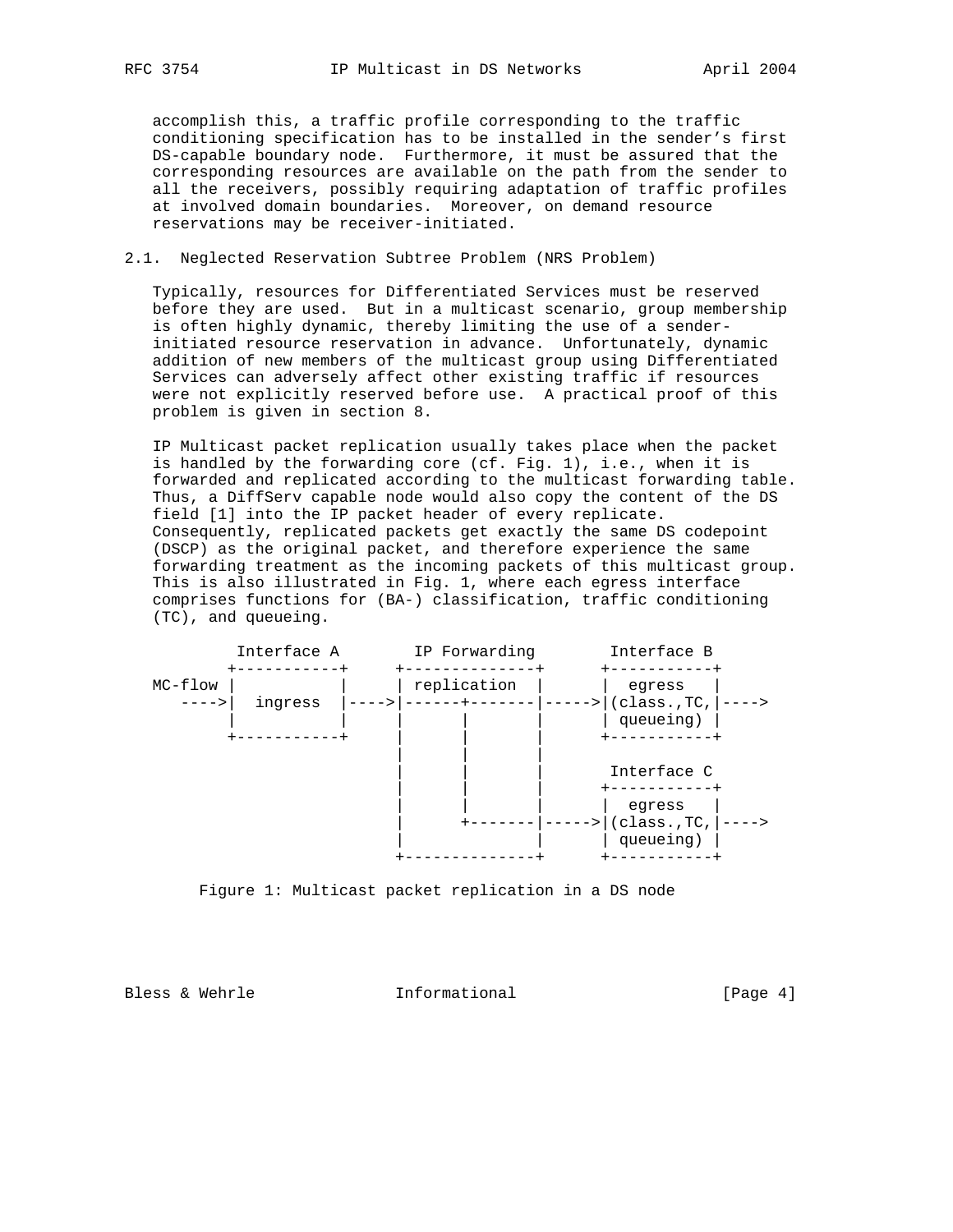accomplish this, a traffic profile corresponding to the traffic conditioning specification has to be installed in the sender's first DS-capable boundary node. Furthermore, it must be assured that the corresponding resources are available on the path from the sender to all the receivers, possibly requiring adaptation of traffic profiles at involved domain boundaries. Moreover, on demand resource reservations may be receiver-initiated.

### 2.1. Neglected Reservation Subtree Problem (NRS Problem)

 Typically, resources for Differentiated Services must be reserved before they are used. But in a multicast scenario, group membership is often highly dynamic, thereby limiting the use of a sender initiated resource reservation in advance. Unfortunately, dynamic addition of new members of the multicast group using Differentiated Services can adversely affect other existing traffic if resources were not explicitly reserved before use. A practical proof of this problem is given in section 8.

 IP Multicast packet replication usually takes place when the packet is handled by the forwarding core (cf. Fig. 1), i.e., when it is forwarded and replicated according to the multicast forwarding table. Thus, a DiffServ capable node would also copy the content of the DS field [1] into the IP packet header of every replicate. Consequently, replicated packets get exactly the same DS codepoint (DSCP) as the original packet, and therefore experience the same forwarding treatment as the incoming packets of this multicast group. This is also illustrated in Fig. 1, where each egress interface comprises functions for (BA-) classification, traffic conditioning (TC), and queueing.



Figure 1: Multicast packet replication in a DS node

Bless & Wehrle **Informational** [Page 4]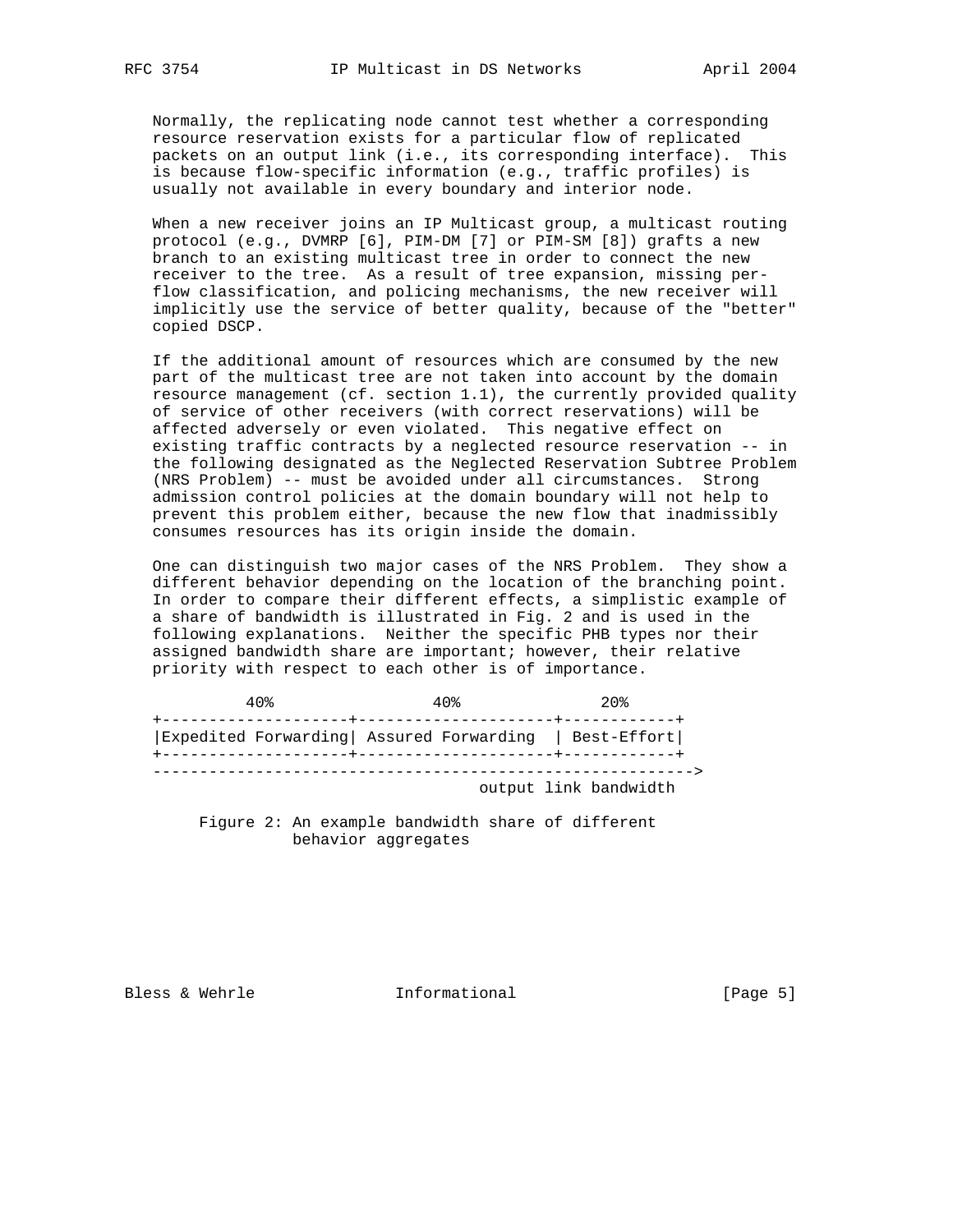Normally, the replicating node cannot test whether a corresponding resource reservation exists for a particular flow of replicated packets on an output link (i.e., its corresponding interface). This is because flow-specific information (e.g., traffic profiles) is usually not available in every boundary and interior node.

 When a new receiver joins an IP Multicast group, a multicast routing protocol (e.g., DVMRP [6], PIM-DM [7] or PIM-SM [8]) grafts a new branch to an existing multicast tree in order to connect the new receiver to the tree. As a result of tree expansion, missing per flow classification, and policing mechanisms, the new receiver will implicitly use the service of better quality, because of the "better" copied DSCP.

 If the additional amount of resources which are consumed by the new part of the multicast tree are not taken into account by the domain resource management (cf. section 1.1), the currently provided quality of service of other receivers (with correct reservations) will be affected adversely or even violated. This negative effect on existing traffic contracts by a neglected resource reservation -- in the following designated as the Neglected Reservation Subtree Problem (NRS Problem) -- must be avoided under all circumstances. Strong admission control policies at the domain boundary will not help to prevent this problem either, because the new flow that inadmissibly consumes resources has its origin inside the domain.

 One can distinguish two major cases of the NRS Problem. They show a different behavior depending on the location of the branching point. In order to compare their different effects, a simplistic example of a share of bandwidth is illustrated in Fig. 2 and is used in the following explanations. Neither the specific PHB types nor their assigned bandwidth share are important; however, their relative priority with respect to each other is of importance.

| 40%                                                    | 40 <sup>2</sup> | $20$ .                |
|--------------------------------------------------------|-----------------|-----------------------|
| Expedited Forwarding  Assured Forwarding   Best-Effort |                 |                       |
|                                                        |                 |                       |
|                                                        |                 | output link bandwidth |

 Figure 2: An example bandwidth share of different behavior aggregates

Bless & Wehrle **Informational** [Page 5]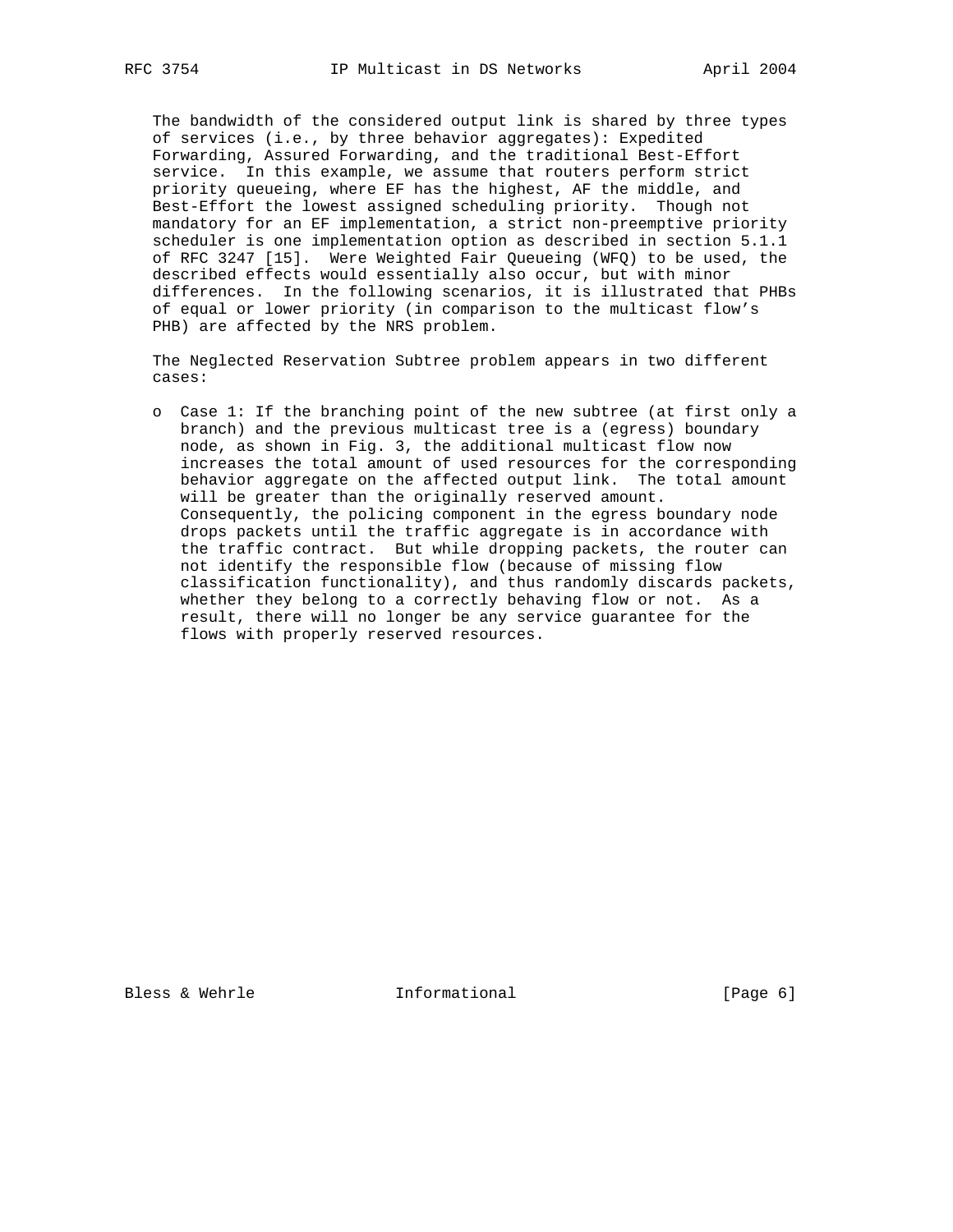The bandwidth of the considered output link is shared by three types of services (i.e., by three behavior aggregates): Expedited Forwarding, Assured Forwarding, and the traditional Best-Effort service. In this example, we assume that routers perform strict priority queueing, where EF has the highest, AF the middle, and Best-Effort the lowest assigned scheduling priority. Though not mandatory for an EF implementation, a strict non-preemptive priority scheduler is one implementation option as described in section 5.1.1 of RFC 3247 [15]. Were Weighted Fair Queueing (WFQ) to be used, the described effects would essentially also occur, but with minor differences. In the following scenarios, it is illustrated that PHBs of equal or lower priority (in comparison to the multicast flow's PHB) are affected by the NRS problem.

 The Neglected Reservation Subtree problem appears in two different cases:

 o Case 1: If the branching point of the new subtree (at first only a branch) and the previous multicast tree is a (egress) boundary node, as shown in Fig. 3, the additional multicast flow now increases the total amount of used resources for the corresponding behavior aggregate on the affected output link. The total amount will be greater than the originally reserved amount. Consequently, the policing component in the egress boundary node drops packets until the traffic aggregate is in accordance with the traffic contract. But while dropping packets, the router can not identify the responsible flow (because of missing flow classification functionality), and thus randomly discards packets, whether they belong to a correctly behaving flow or not. As a result, there will no longer be any service guarantee for the flows with properly reserved resources.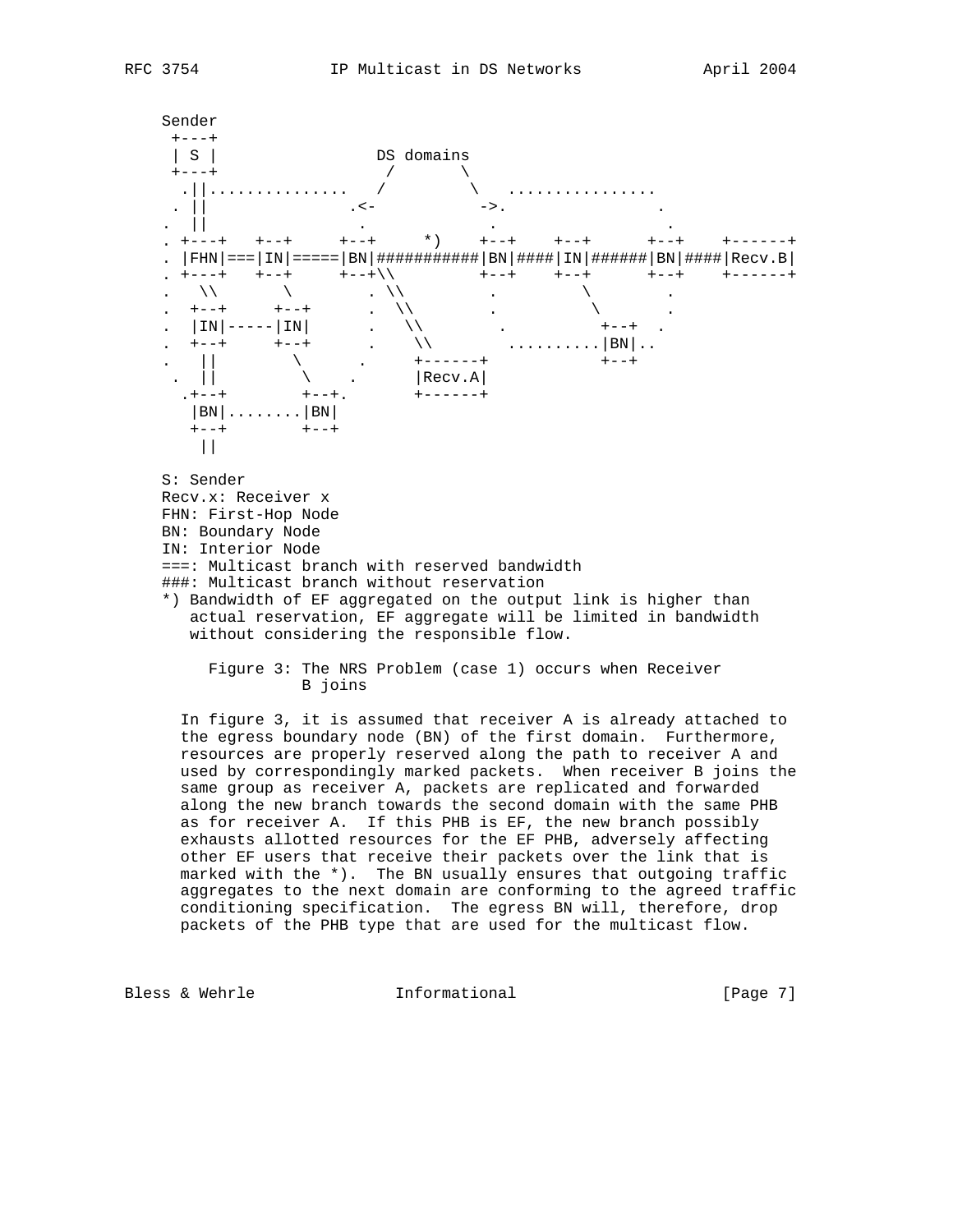

B joins

 In figure 3, it is assumed that receiver A is already attached to the egress boundary node (BN) of the first domain. Furthermore, resources are properly reserved along the path to receiver A and used by correspondingly marked packets. When receiver B joins the same group as receiver A, packets are replicated and forwarded along the new branch towards the second domain with the same PHB as for receiver A. If this PHB is EF, the new branch possibly exhausts allotted resources for the EF PHB, adversely affecting other EF users that receive their packets over the link that is marked with the  $*$ ). The BN usually ensures that outgoing traffic aggregates to the next domain are conforming to the agreed traffic conditioning specification. The egress BN will, therefore, drop packets of the PHB type that are used for the multicast flow.

Bless & Wehrle Tnformational [Page 7]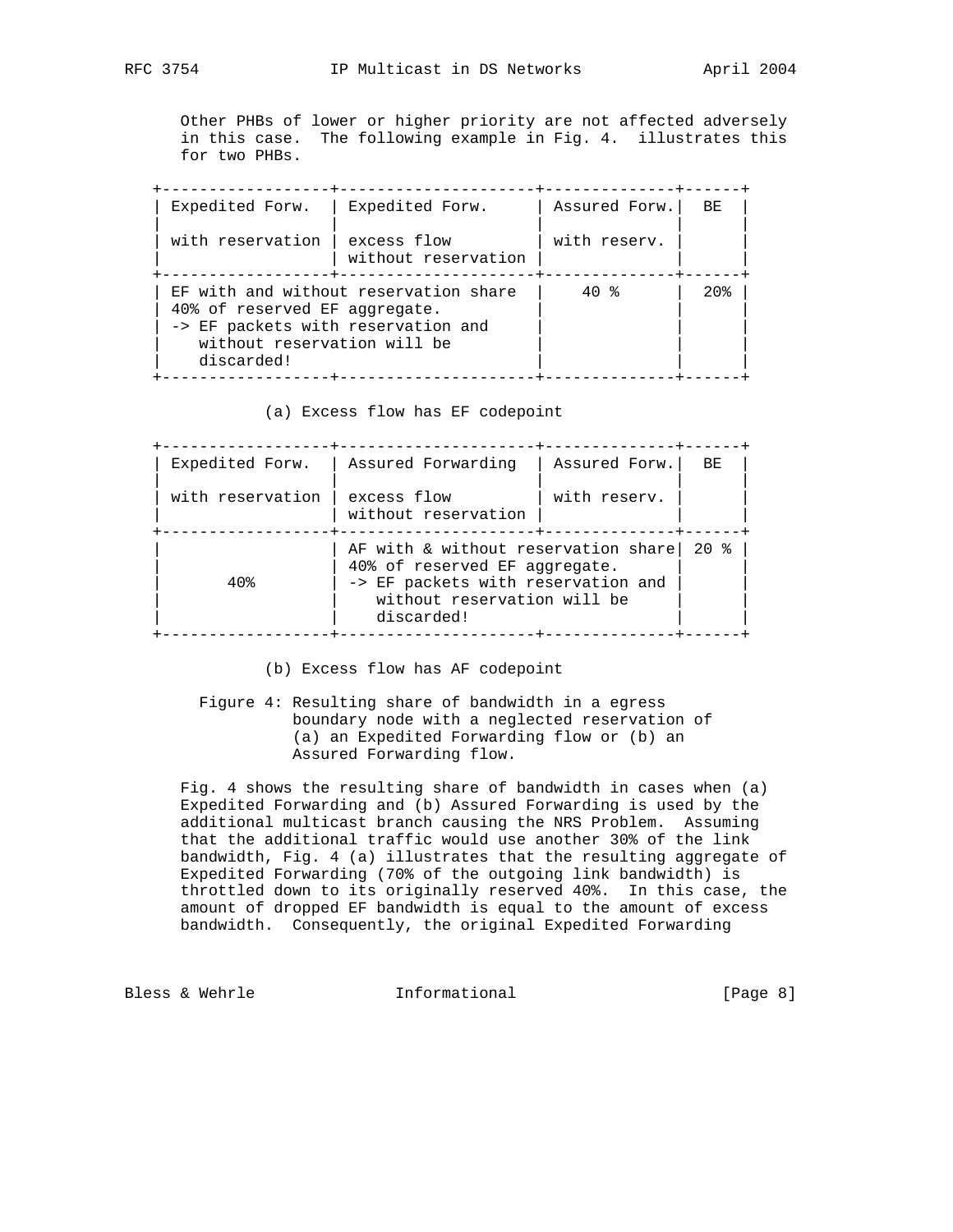Other PHBs of lower or higher priority are not affected adversely in this case. The following example in Fig. 4. illustrates this for two PHBs.

| Expedited Forw.                                                                                                  | Expedited Forw.                       | Assured Forw. | BE.    |
|------------------------------------------------------------------------------------------------------------------|---------------------------------------|---------------|--------|
| with reservation I                                                                                               | excess flow<br>without reservation    | with reserv.  |        |
| 40% of reserved EF aggregate.<br>-> EF packets with reservation and<br>without reservation will be<br>discarded! | EF with and without reservation share | 40 %          | $20$ . |

(a) Excess flow has EF codepoint

| Expedited Forw.  | Assured Forwarding                                                                                                                                                                            | Assured Forw. | BE. |  |  |
|------------------|-----------------------------------------------------------------------------------------------------------------------------------------------------------------------------------------------|---------------|-----|--|--|
| with reservation | excess flow<br>without reservation                                                                                                                                                            | with reserv.  |     |  |  |
| $40$ .           | ------------+---<br>AF with & without reservation share<br>$20$ $\approx$<br>40% of reserved EF aggregate.<br>-> EF packets with reservation and<br>without reservation will be<br>discarded! |               |     |  |  |

(b) Excess flow has AF codepoint

 Figure 4: Resulting share of bandwidth in a egress boundary node with a neglected reservation of (a) an Expedited Forwarding flow or (b) an Assured Forwarding flow.

 Fig. 4 shows the resulting share of bandwidth in cases when (a) Expedited Forwarding and (b) Assured Forwarding is used by the additional multicast branch causing the NRS Problem. Assuming that the additional traffic would use another 30% of the link bandwidth, Fig. 4 (a) illustrates that the resulting aggregate of Expedited Forwarding (70% of the outgoing link bandwidth) is throttled down to its originally reserved 40%. In this case, the amount of dropped EF bandwidth is equal to the amount of excess bandwidth. Consequently, the original Expedited Forwarding

Bless & Wehrle **Informational** [Page 8]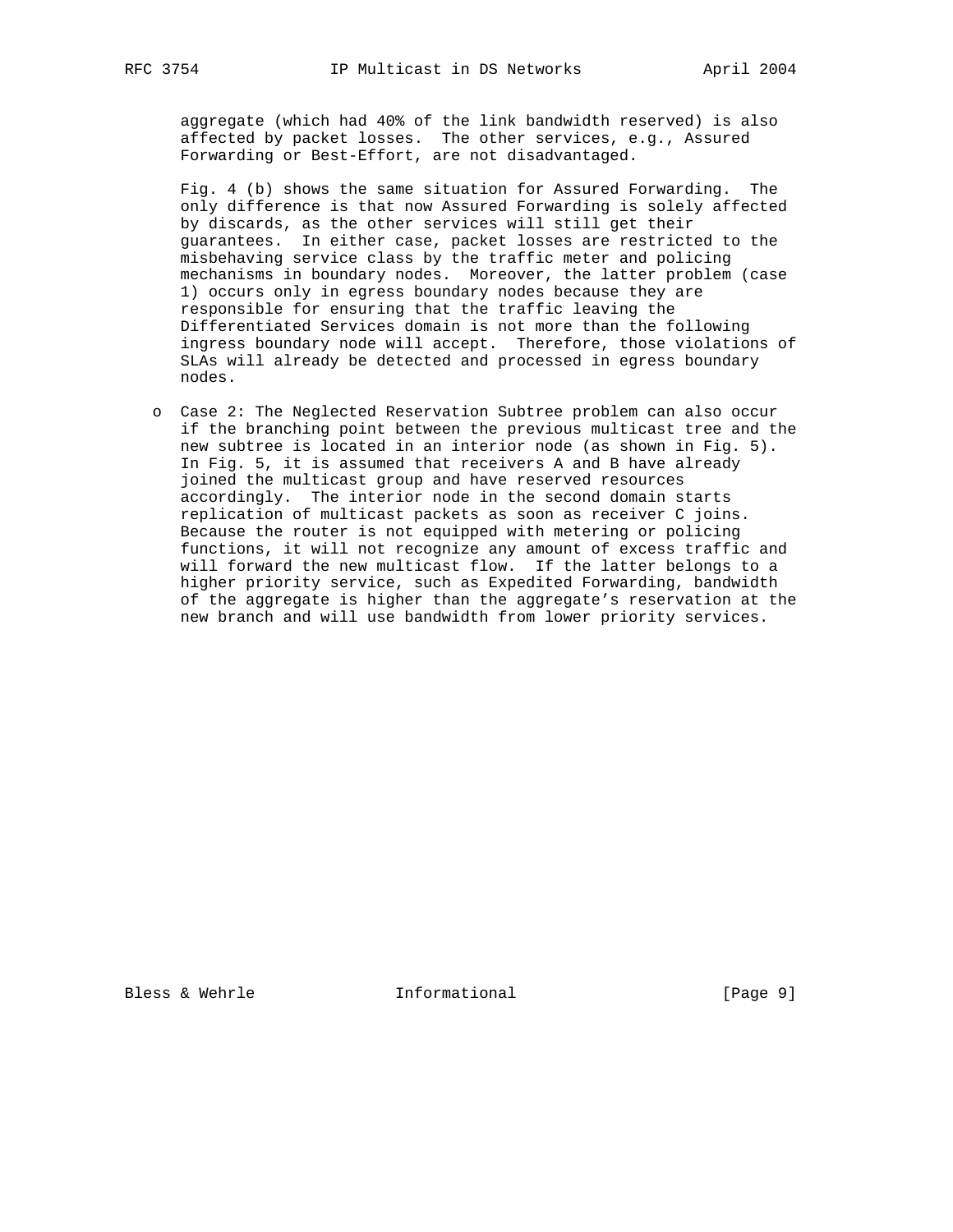aggregate (which had 40% of the link bandwidth reserved) is also affected by packet losses. The other services, e.g., Assured Forwarding or Best-Effort, are not disadvantaged.

 Fig. 4 (b) shows the same situation for Assured Forwarding. The only difference is that now Assured Forwarding is solely affected by discards, as the other services will still get their guarantees. In either case, packet losses are restricted to the misbehaving service class by the traffic meter and policing mechanisms in boundary nodes. Moreover, the latter problem (case 1) occurs only in egress boundary nodes because they are responsible for ensuring that the traffic leaving the Differentiated Services domain is not more than the following ingress boundary node will accept. Therefore, those violations of SLAs will already be detected and processed in egress boundary nodes.

 o Case 2: The Neglected Reservation Subtree problem can also occur if the branching point between the previous multicast tree and the new subtree is located in an interior node (as shown in Fig. 5). In Fig. 5, it is assumed that receivers A and B have already joined the multicast group and have reserved resources accordingly. The interior node in the second domain starts replication of multicast packets as soon as receiver C joins. Because the router is not equipped with metering or policing functions, it will not recognize any amount of excess traffic and will forward the new multicast flow. If the latter belongs to a higher priority service, such as Expedited Forwarding, bandwidth of the aggregate is higher than the aggregate's reservation at the new branch and will use bandwidth from lower priority services.

Bless & Wehrle **Informational** [Page 9]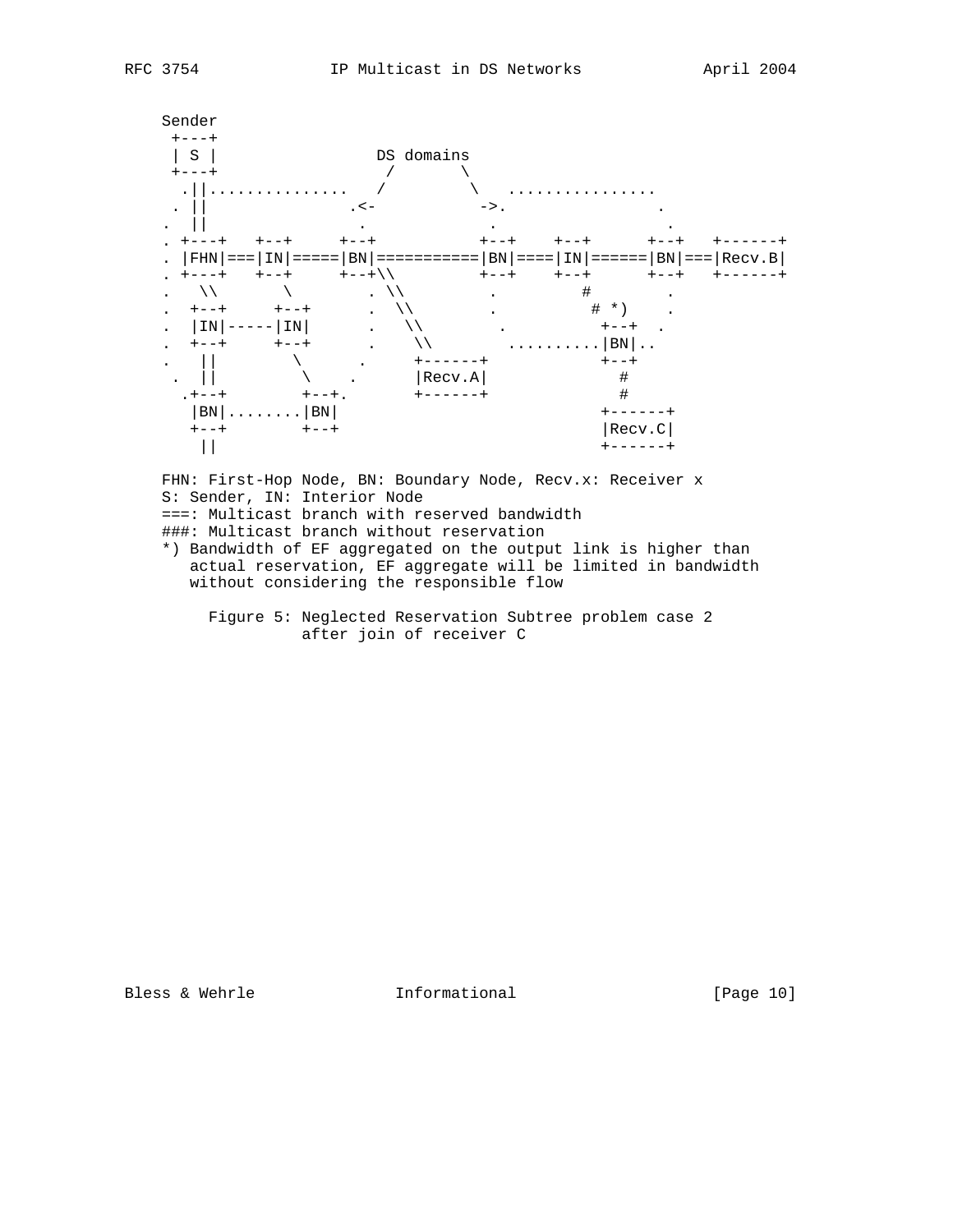

FHN: First-Hop Node, BN: Boundary Node, Recv.x: Receiver x S: Sender, IN: Interior Node ===: Multicast branch with reserved bandwidth ###: Multicast branch without reservation

 \*) Bandwidth of EF aggregated on the output link is higher than actual reservation, EF aggregate will be limited in bandwidth without considering the responsible flow

 Figure 5: Neglected Reservation Subtree problem case 2 after join of receiver C

Bless & Wehrle **Informational** [Page 10]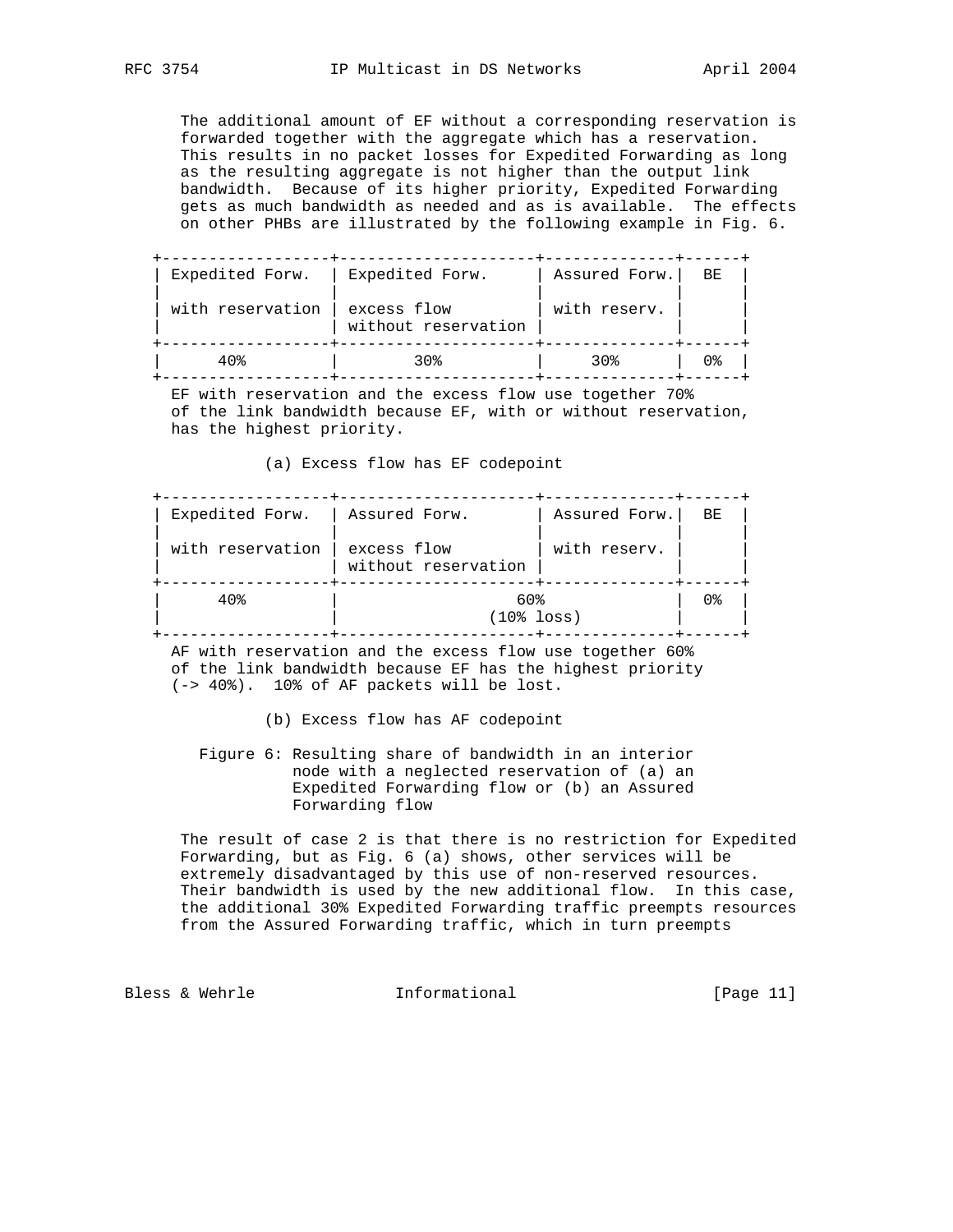The additional amount of EF without a corresponding reservation is forwarded together with the aggregate which has a reservation. This results in no packet losses for Expedited Forwarding as long as the resulting aggregate is not higher than the output link bandwidth. Because of its higher priority, Expedited Forwarding gets as much bandwidth as needed and as is available. The effects on other PHBs are illustrated by the following example in Fig. 6.

 +------------------+---------------------+--------------+------+ | Expedited Forw. | Expedited Forw. | Assured Forw.| BE | | | | | |  $\vert$  with reservation  $\vert$  excess flow  $\vert$  with reserv.  $\vert$   $\vert$  $|$  without reservation  $|$  +------------------+---------------------+--------------+------+ | 40% | 30% | 30% | 0% | +------------------+---------------------+--------------+------+

 EF with reservation and the excess flow use together 70% of the link bandwidth because EF, with or without reservation, has the highest priority.

(a) Excess flow has EF codepoint

| Expedited Forw.  | Assured Forw.                      | Assured Forw. | BE |  |
|------------------|------------------------------------|---------------|----|--|
| with reservation | excess flow<br>without reservation | with reserv.  |    |  |
| 40%              | 60%<br>$(108$ loss)                |               |    |  |

 AF with reservation and the excess flow use together 60% of the link bandwidth because EF has the highest priority (-> 40%). 10% of AF packets will be lost.

(b) Excess flow has AF codepoint

 Figure 6: Resulting share of bandwidth in an interior node with a neglected reservation of (a) an Expedited Forwarding flow or (b) an Assured Forwarding flow

 The result of case 2 is that there is no restriction for Expedited Forwarding, but as Fig. 6 (a) shows, other services will be extremely disadvantaged by this use of non-reserved resources. Their bandwidth is used by the new additional flow. In this case, the additional 30% Expedited Forwarding traffic preempts resources from the Assured Forwarding traffic, which in turn preempts

Bless & Wehrle **Informational** [Page 11]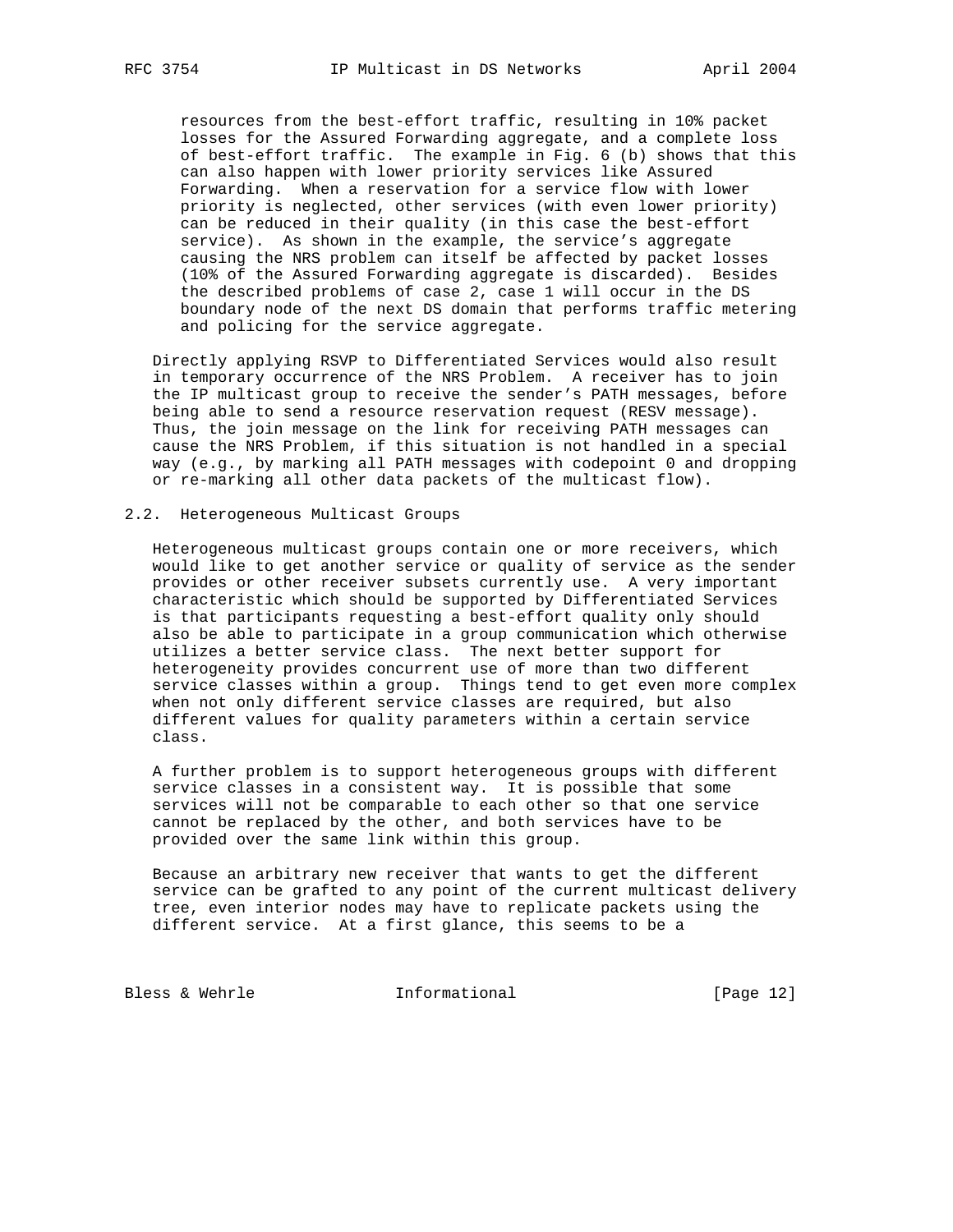resources from the best-effort traffic, resulting in 10% packet losses for the Assured Forwarding aggregate, and a complete loss of best-effort traffic. The example in Fig. 6 (b) shows that this can also happen with lower priority services like Assured Forwarding. When a reservation for a service flow with lower priority is neglected, other services (with even lower priority) can be reduced in their quality (in this case the best-effort service). As shown in the example, the service's aggregate causing the NRS problem can itself be affected by packet losses (10% of the Assured Forwarding aggregate is discarded). Besides the described problems of case 2, case 1 will occur in the DS boundary node of the next DS domain that performs traffic metering and policing for the service aggregate.

 Directly applying RSVP to Differentiated Services would also result in temporary occurrence of the NRS Problem. A receiver has to join the IP multicast group to receive the sender's PATH messages, before being able to send a resource reservation request (RESV message). Thus, the join message on the link for receiving PATH messages can cause the NRS Problem, if this situation is not handled in a special way (e.g., by marking all PATH messages with codepoint 0 and dropping or re-marking all other data packets of the multicast flow).

## 2.2. Heterogeneous Multicast Groups

 Heterogeneous multicast groups contain one or more receivers, which would like to get another service or quality of service as the sender provides or other receiver subsets currently use. A very important characteristic which should be supported by Differentiated Services is that participants requesting a best-effort quality only should also be able to participate in a group communication which otherwise utilizes a better service class. The next better support for heterogeneity provides concurrent use of more than two different service classes within a group. Things tend to get even more complex when not only different service classes are required, but also different values for quality parameters within a certain service class.

 A further problem is to support heterogeneous groups with different service classes in a consistent way. It is possible that some services will not be comparable to each other so that one service cannot be replaced by the other, and both services have to be provided over the same link within this group.

 Because an arbitrary new receiver that wants to get the different service can be grafted to any point of the current multicast delivery tree, even interior nodes may have to replicate packets using the different service. At a first glance, this seems to be a

Bless & Wehrle **Informational** [Page 12]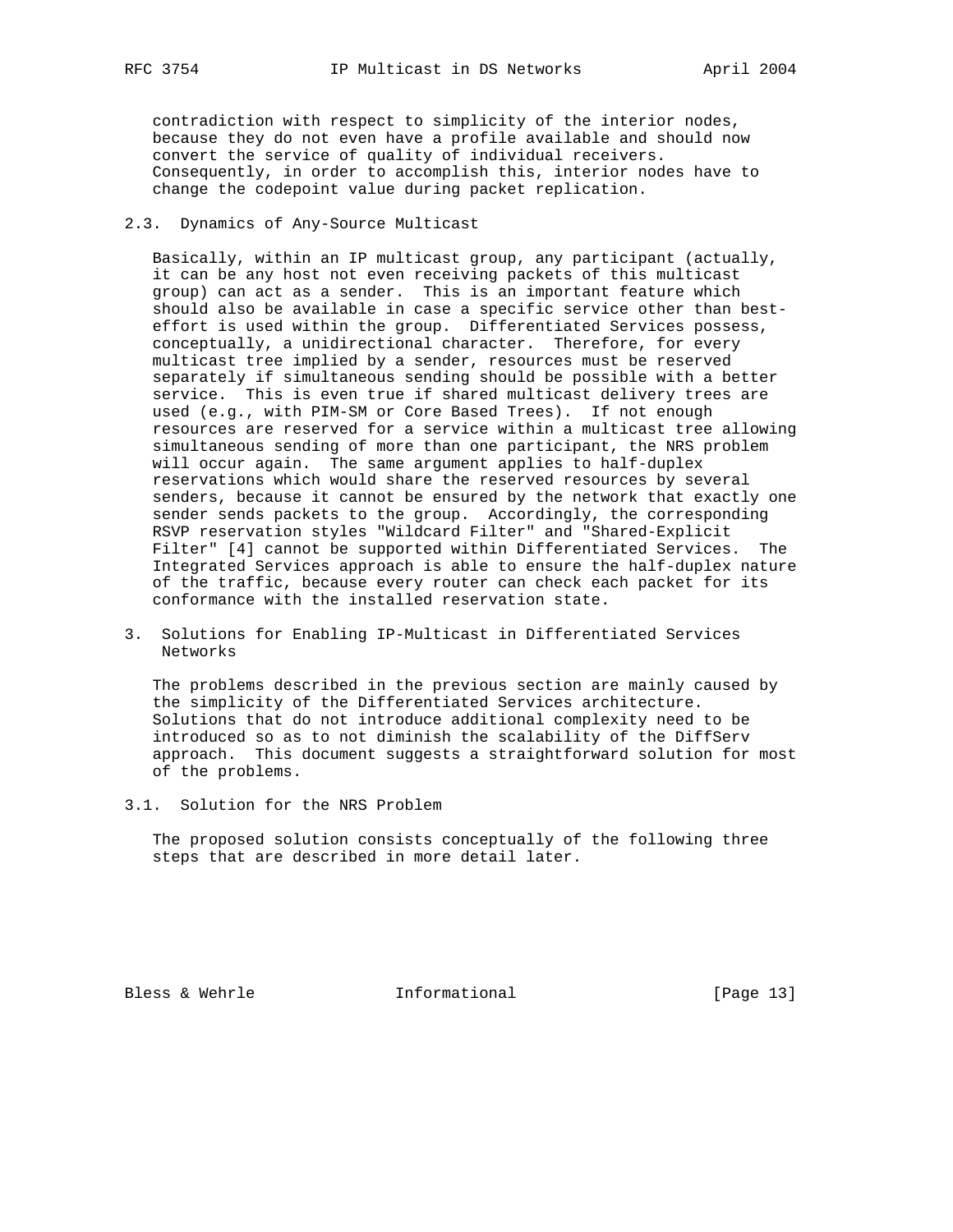contradiction with respect to simplicity of the interior nodes, because they do not even have a profile available and should now convert the service of quality of individual receivers. Consequently, in order to accomplish this, interior nodes have to change the codepoint value during packet replication.

# 2.3. Dynamics of Any-Source Multicast

 Basically, within an IP multicast group, any participant (actually, it can be any host not even receiving packets of this multicast group) can act as a sender. This is an important feature which should also be available in case a specific service other than best effort is used within the group. Differentiated Services possess, conceptually, a unidirectional character. Therefore, for every multicast tree implied by a sender, resources must be reserved separately if simultaneous sending should be possible with a better service. This is even true if shared multicast delivery trees are used (e.g., with PIM-SM or Core Based Trees). If not enough resources are reserved for a service within a multicast tree allowing simultaneous sending of more than one participant, the NRS problem will occur again. The same argument applies to half-duplex reservations which would share the reserved resources by several senders, because it cannot be ensured by the network that exactly one sender sends packets to the group. Accordingly, the corresponding RSVP reservation styles "Wildcard Filter" and "Shared-Explicit Filter" [4] cannot be supported within Differentiated Services. The Integrated Services approach is able to ensure the half-duplex nature of the traffic, because every router can check each packet for its conformance with the installed reservation state.

3. Solutions for Enabling IP-Multicast in Differentiated Services Networks

 The problems described in the previous section are mainly caused by the simplicity of the Differentiated Services architecture. Solutions that do not introduce additional complexity need to be introduced so as to not diminish the scalability of the DiffServ approach. This document suggests a straightforward solution for most of the problems.

3.1. Solution for the NRS Problem

 The proposed solution consists conceptually of the following three steps that are described in more detail later.

Bless & Wehrle **Informational** [Page 13]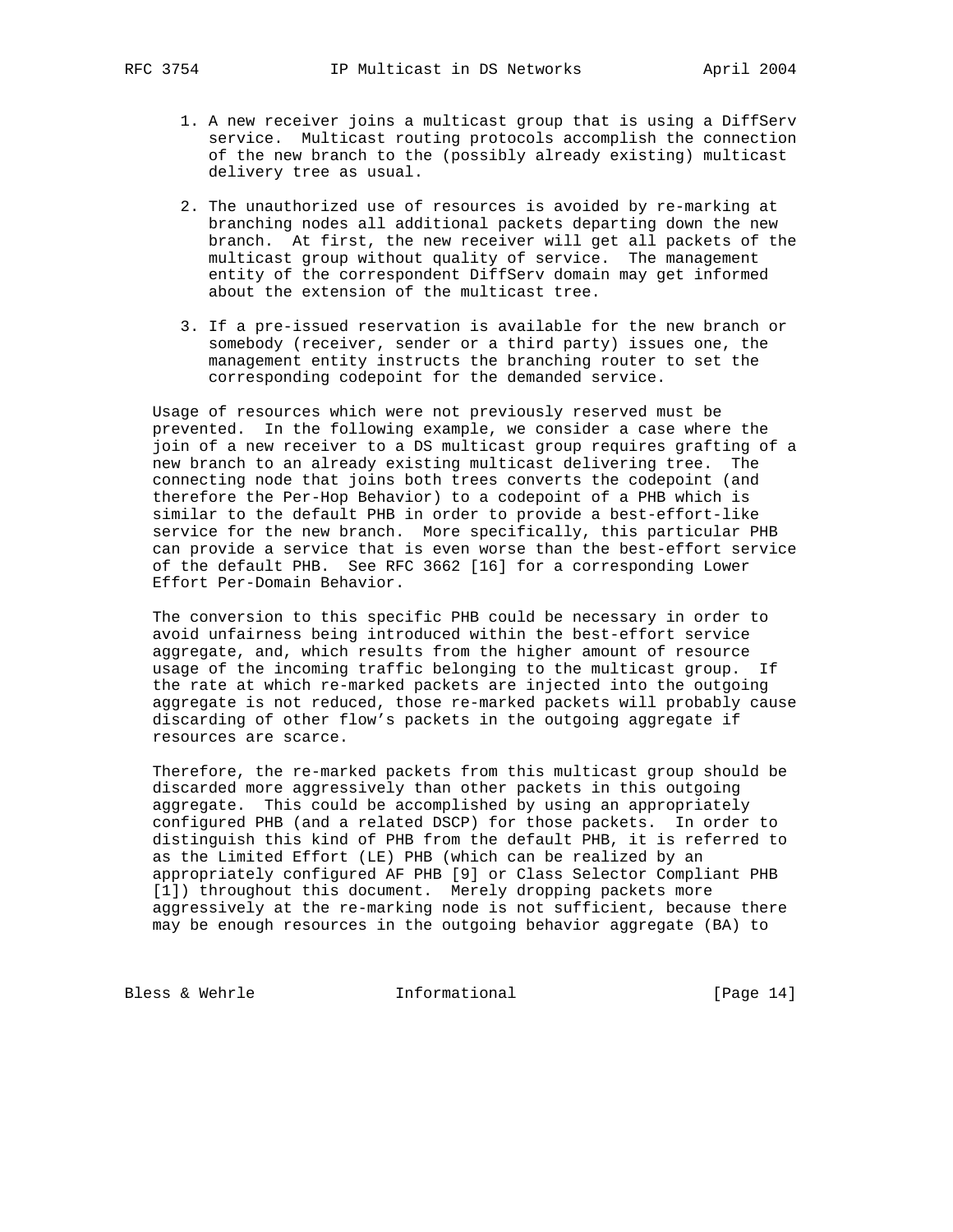- 1. A new receiver joins a multicast group that is using a DiffServ service. Multicast routing protocols accomplish the connection of the new branch to the (possibly already existing) multicast delivery tree as usual.
- 2. The unauthorized use of resources is avoided by re-marking at branching nodes all additional packets departing down the new branch. At first, the new receiver will get all packets of the multicast group without quality of service. The management entity of the correspondent DiffServ domain may get informed about the extension of the multicast tree.
- 3. If a pre-issued reservation is available for the new branch or somebody (receiver, sender or a third party) issues one, the management entity instructs the branching router to set the corresponding codepoint for the demanded service.

 Usage of resources which were not previously reserved must be prevented. In the following example, we consider a case where the join of a new receiver to a DS multicast group requires grafting of a new branch to an already existing multicast delivering tree. The connecting node that joins both trees converts the codepoint (and therefore the Per-Hop Behavior) to a codepoint of a PHB which is similar to the default PHB in order to provide a best-effort-like service for the new branch. More specifically, this particular PHB can provide a service that is even worse than the best-effort service of the default PHB. See RFC 3662 [16] for a corresponding Lower Effort Per-Domain Behavior.

 The conversion to this specific PHB could be necessary in order to avoid unfairness being introduced within the best-effort service aggregate, and, which results from the higher amount of resource usage of the incoming traffic belonging to the multicast group. If the rate at which re-marked packets are injected into the outgoing aggregate is not reduced, those re-marked packets will probably cause discarding of other flow's packets in the outgoing aggregate if resources are scarce.

 Therefore, the re-marked packets from this multicast group should be discarded more aggressively than other packets in this outgoing aggregate. This could be accomplished by using an appropriately configured PHB (and a related DSCP) for those packets. In order to distinguish this kind of PHB from the default PHB, it is referred to as the Limited Effort (LE) PHB (which can be realized by an appropriately configured AF PHB [9] or Class Selector Compliant PHB [1]) throughout this document. Merely dropping packets more aggressively at the re-marking node is not sufficient, because there may be enough resources in the outgoing behavior aggregate (BA) to

Bless & Wehrle **Informational** [Page 14]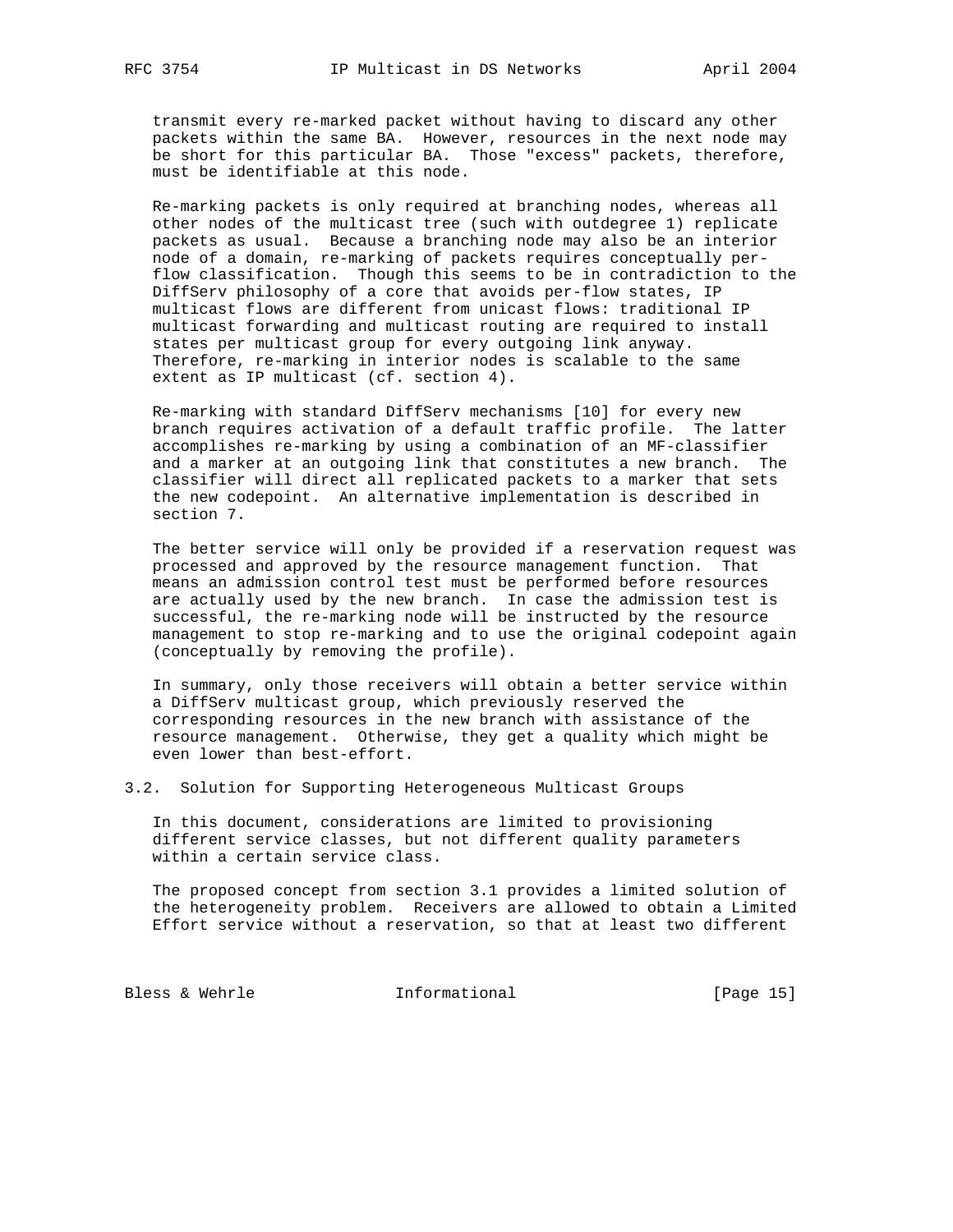transmit every re-marked packet without having to discard any other packets within the same BA. However, resources in the next node may be short for this particular BA. Those "excess" packets, therefore, must be identifiable at this node.

 Re-marking packets is only required at branching nodes, whereas all other nodes of the multicast tree (such with outdegree 1) replicate packets as usual. Because a branching node may also be an interior node of a domain, re-marking of packets requires conceptually per flow classification. Though this seems to be in contradiction to the DiffServ philosophy of a core that avoids per-flow states, IP multicast flows are different from unicast flows: traditional IP multicast forwarding and multicast routing are required to install states per multicast group for every outgoing link anyway. Therefore, re-marking in interior nodes is scalable to the same extent as IP multicast (cf. section 4).

 Re-marking with standard DiffServ mechanisms [10] for every new branch requires activation of a default traffic profile. The latter accomplishes re-marking by using a combination of an MF-classifier and a marker at an outgoing link that constitutes a new branch. The classifier will direct all replicated packets to a marker that sets the new codepoint. An alternative implementation is described in section 7.

 The better service will only be provided if a reservation request was processed and approved by the resource management function. That means an admission control test must be performed before resources are actually used by the new branch. In case the admission test is successful, the re-marking node will be instructed by the resource management to stop re-marking and to use the original codepoint again (conceptually by removing the profile).

 In summary, only those receivers will obtain a better service within a DiffServ multicast group, which previously reserved the corresponding resources in the new branch with assistance of the resource management. Otherwise, they get a quality which might be even lower than best-effort.

3.2. Solution for Supporting Heterogeneous Multicast Groups

 In this document, considerations are limited to provisioning different service classes, but not different quality parameters within a certain service class.

 The proposed concept from section 3.1 provides a limited solution of the heterogeneity problem. Receivers are allowed to obtain a Limited Effort service without a reservation, so that at least two different

Bless & Wehrle **Informational** [Page 15]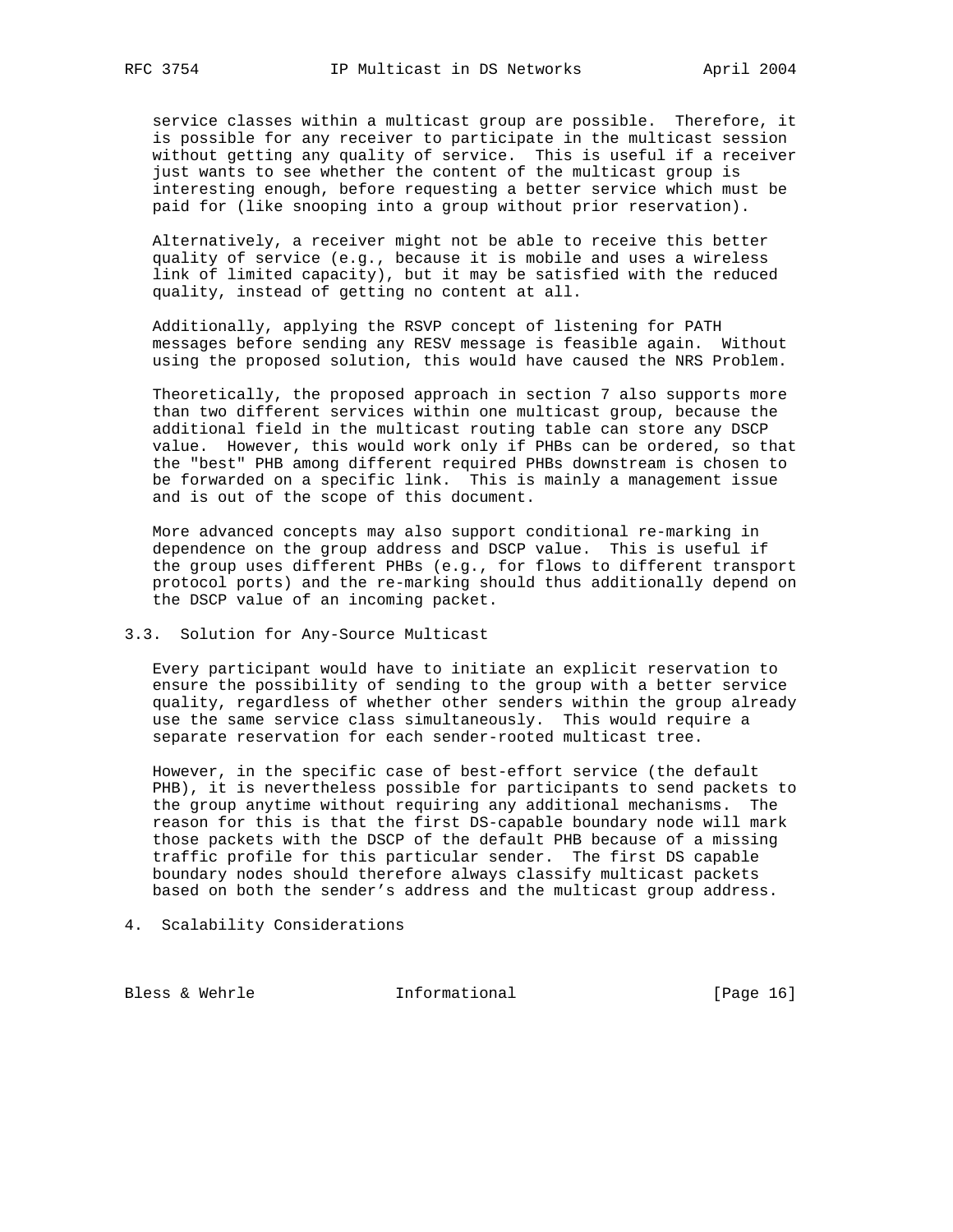service classes within a multicast group are possible. Therefore, it is possible for any receiver to participate in the multicast session without getting any quality of service. This is useful if a receiver just wants to see whether the content of the multicast group is interesting enough, before requesting a better service which must be paid for (like snooping into a group without prior reservation).

 Alternatively, a receiver might not be able to receive this better quality of service (e.g., because it is mobile and uses a wireless link of limited capacity), but it may be satisfied with the reduced quality, instead of getting no content at all.

 Additionally, applying the RSVP concept of listening for PATH messages before sending any RESV message is feasible again. Without using the proposed solution, this would have caused the NRS Problem.

 Theoretically, the proposed approach in section 7 also supports more than two different services within one multicast group, because the additional field in the multicast routing table can store any DSCP value. However, this would work only if PHBs can be ordered, so that the "best" PHB among different required PHBs downstream is chosen to be forwarded on a specific link. This is mainly a management issue and is out of the scope of this document.

 More advanced concepts may also support conditional re-marking in dependence on the group address and DSCP value. This is useful if the group uses different PHBs (e.g., for flows to different transport protocol ports) and the re-marking should thus additionally depend on the DSCP value of an incoming packet.

# 3.3. Solution for Any-Source Multicast

 Every participant would have to initiate an explicit reservation to ensure the possibility of sending to the group with a better service quality, regardless of whether other senders within the group already use the same service class simultaneously. This would require a separate reservation for each sender-rooted multicast tree.

 However, in the specific case of best-effort service (the default PHB), it is nevertheless possible for participants to send packets to the group anytime without requiring any additional mechanisms. The reason for this is that the first DS-capable boundary node will mark those packets with the DSCP of the default PHB because of a missing traffic profile for this particular sender. The first DS capable boundary nodes should therefore always classify multicast packets based on both the sender's address and the multicast group address.

4. Scalability Considerations

Bless & Wehrle **Informational** [Page 16]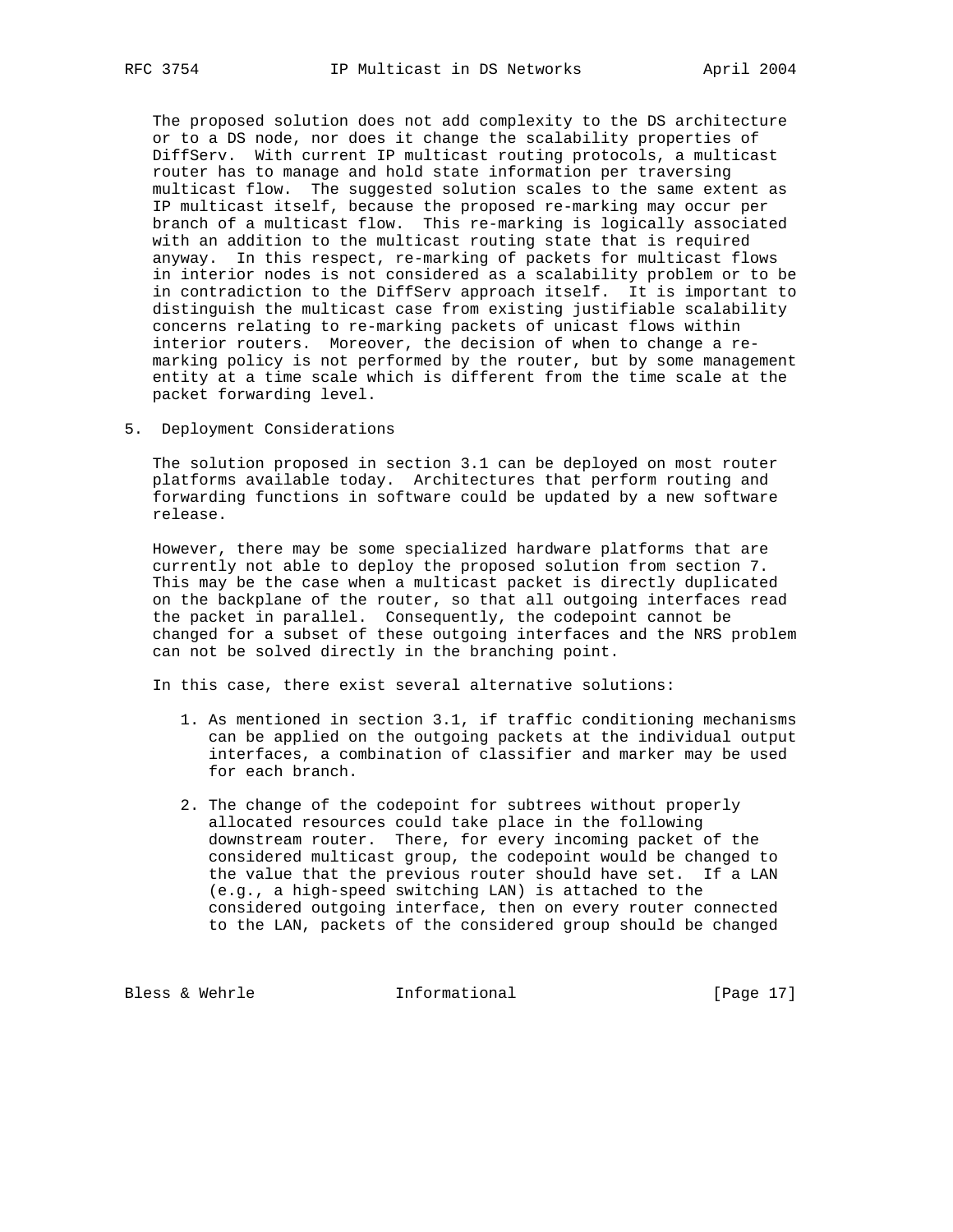The proposed solution does not add complexity to the DS architecture or to a DS node, nor does it change the scalability properties of DiffServ. With current IP multicast routing protocols, a multicast router has to manage and hold state information per traversing multicast flow. The suggested solution scales to the same extent as IP multicast itself, because the proposed re-marking may occur per branch of a multicast flow. This re-marking is logically associated with an addition to the multicast routing state that is required anyway. In this respect, re-marking of packets for multicast flows in interior nodes is not considered as a scalability problem or to be in contradiction to the DiffServ approach itself. It is important to distinguish the multicast case from existing justifiable scalability concerns relating to re-marking packets of unicast flows within interior routers. Moreover, the decision of when to change a re marking policy is not performed by the router, but by some management entity at a time scale which is different from the time scale at the packet forwarding level.

5. Deployment Considerations

 The solution proposed in section 3.1 can be deployed on most router platforms available today. Architectures that perform routing and forwarding functions in software could be updated by a new software release.

 However, there may be some specialized hardware platforms that are currently not able to deploy the proposed solution from section 7. This may be the case when a multicast packet is directly duplicated on the backplane of the router, so that all outgoing interfaces read the packet in parallel. Consequently, the codepoint cannot be changed for a subset of these outgoing interfaces and the NRS problem can not be solved directly in the branching point.

In this case, there exist several alternative solutions:

- 1. As mentioned in section 3.1, if traffic conditioning mechanisms can be applied on the outgoing packets at the individual output interfaces, a combination of classifier and marker may be used for each branch.
- 2. The change of the codepoint for subtrees without properly allocated resources could take place in the following downstream router. There, for every incoming packet of the considered multicast group, the codepoint would be changed to the value that the previous router should have set. If a LAN (e.g., a high-speed switching LAN) is attached to the considered outgoing interface, then on every router connected to the LAN, packets of the considered group should be changed

Bless & Wehrle **Informational** [Page 17]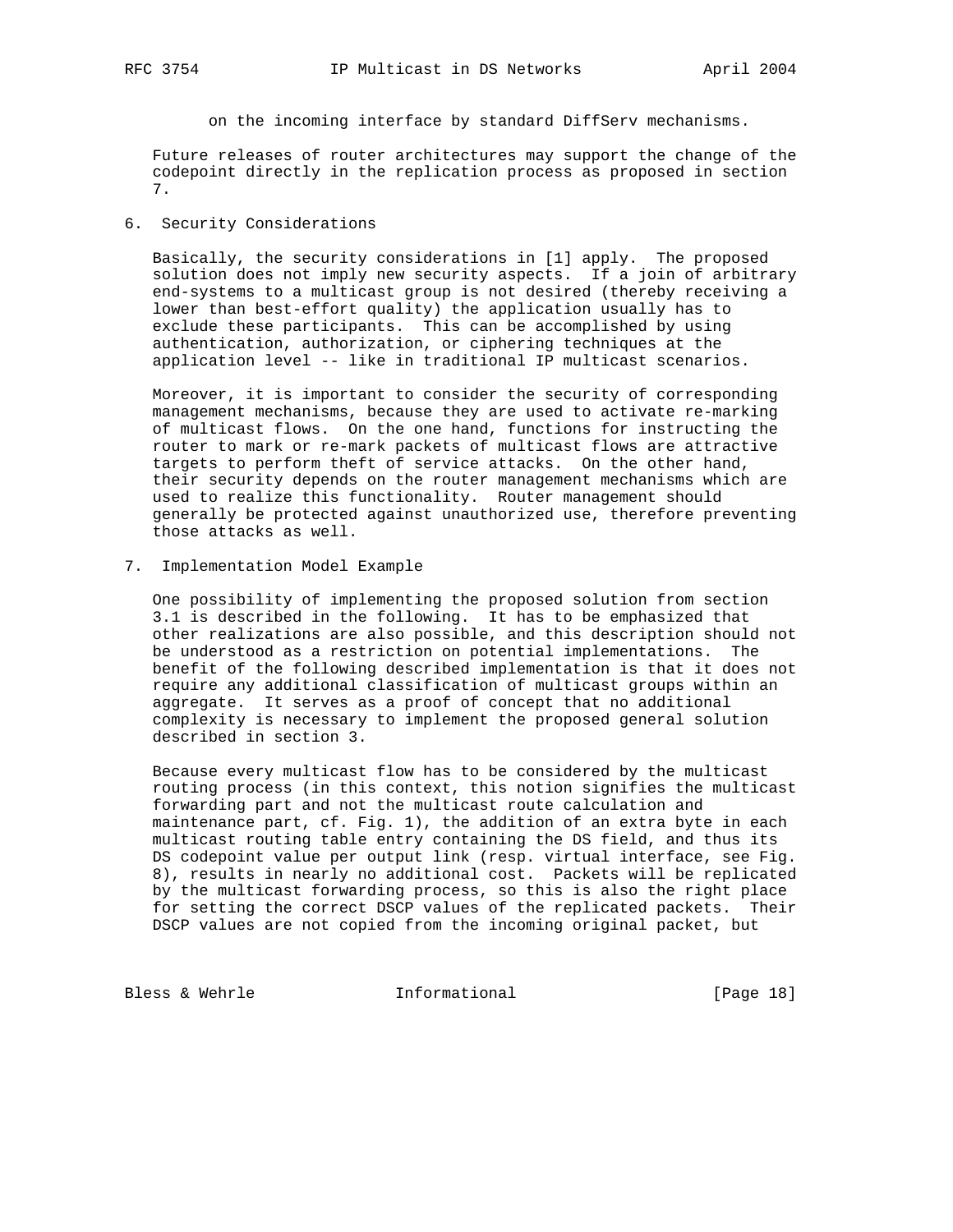on the incoming interface by standard DiffServ mechanisms.

 Future releases of router architectures may support the change of the codepoint directly in the replication process as proposed in section 7.

# 6. Security Considerations

 Basically, the security considerations in [1] apply. The proposed solution does not imply new security aspects. If a join of arbitrary end-systems to a multicast group is not desired (thereby receiving a lower than best-effort quality) the application usually has to exclude these participants. This can be accomplished by using authentication, authorization, or ciphering techniques at the application level -- like in traditional IP multicast scenarios.

 Moreover, it is important to consider the security of corresponding management mechanisms, because they are used to activate re-marking of multicast flows. On the one hand, functions for instructing the router to mark or re-mark packets of multicast flows are attractive targets to perform theft of service attacks. On the other hand, their security depends on the router management mechanisms which are used to realize this functionality. Router management should generally be protected against unauthorized use, therefore preventing those attacks as well.

7. Implementation Model Example

 One possibility of implementing the proposed solution from section 3.1 is described in the following. It has to be emphasized that other realizations are also possible, and this description should not be understood as a restriction on potential implementations. The benefit of the following described implementation is that it does not require any additional classification of multicast groups within an aggregate. It serves as a proof of concept that no additional complexity is necessary to implement the proposed general solution described in section 3.

 Because every multicast flow has to be considered by the multicast routing process (in this context, this notion signifies the multicast forwarding part and not the multicast route calculation and maintenance part, cf. Fig. 1), the addition of an extra byte in each multicast routing table entry containing the DS field, and thus its DS codepoint value per output link (resp. virtual interface, see Fig. 8), results in nearly no additional cost. Packets will be replicated by the multicast forwarding process, so this is also the right place for setting the correct DSCP values of the replicated packets. Their DSCP values are not copied from the incoming original packet, but

Bless & Wehrle **Informational** [Page 18]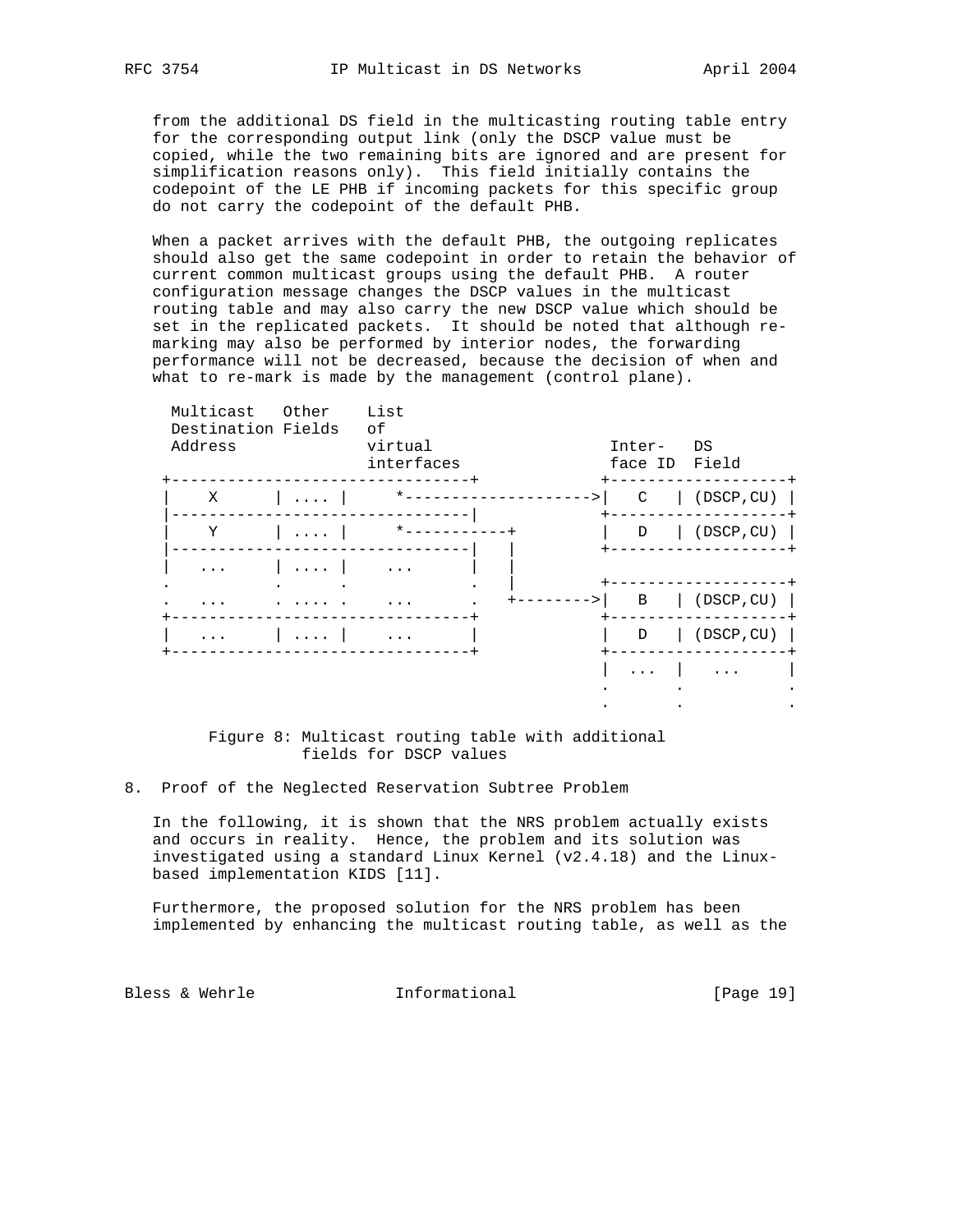from the additional DS field in the multicasting routing table entry for the corresponding output link (only the DSCP value must be copied, while the two remaining bits are ignored and are present for simplification reasons only). This field initially contains the codepoint of the LE PHB if incoming packets for this specific group do not carry the codepoint of the default PHB.

 When a packet arrives with the default PHB, the outgoing replicates should also get the same codepoint in order to retain the behavior of current common multicast groups using the default PHB. A router configuration message changes the DSCP values in the multicast routing table and may also carry the new DSCP value which should be set in the replicated packets. It should be noted that although re marking may also be performed by interior nodes, the forwarding performance will not be decreased, because the decision of when and what to re-mark is made by the management (control plane).

| Multicast<br>Destination Fields<br>Address | Other | List<br>of<br>virtual<br>interfaces | Inter-<br>face ID | DS<br>Field |
|--------------------------------------------|-------|-------------------------------------|-------------------|-------------|
| X                                          |       |                                     | $\mathcal{C}$     | (DSCP, CU)  |
| Y                                          |       | $\star$ $-$                         | D                 | (DSCP, CU)  |
|                                            |       | $\cdot$                             |                   |             |
|                                            |       |                                     | B                 | (DSCP, CU)  |
|                                            |       |                                     | D                 | (DSCP, CU)  |
|                                            |       |                                     |                   | .           |
|                                            |       |                                     |                   |             |

## Figure 8: Multicast routing table with additional fields for DSCP values

## 8. Proof of the Neglected Reservation Subtree Problem

 In the following, it is shown that the NRS problem actually exists and occurs in reality. Hence, the problem and its solution was investigated using a standard Linux Kernel (v2.4.18) and the Linux based implementation KIDS [11].

 Furthermore, the proposed solution for the NRS problem has been implemented by enhancing the multicast routing table, as well as the

Bless & Wehrle **Informational** [Page 19]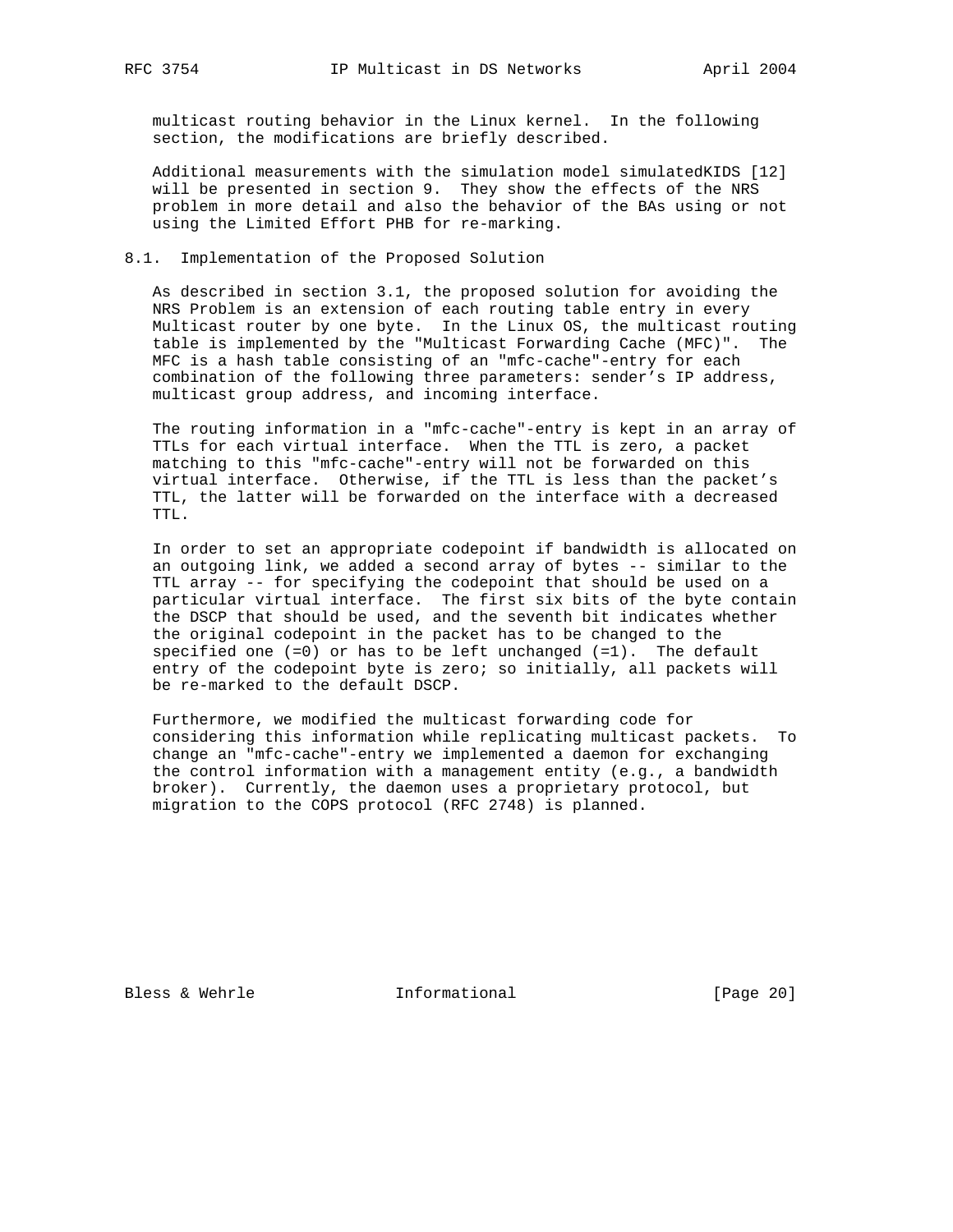multicast routing behavior in the Linux kernel. In the following section, the modifications are briefly described.

 Additional measurements with the simulation model simulatedKIDS [12] will be presented in section 9. They show the effects of the NRS problem in more detail and also the behavior of the BAs using or not using the Limited Effort PHB for re-marking.

## 8.1. Implementation of the Proposed Solution

 As described in section 3.1, the proposed solution for avoiding the NRS Problem is an extension of each routing table entry in every Multicast router by one byte. In the Linux OS, the multicast routing table is implemented by the "Multicast Forwarding Cache (MFC)". The MFC is a hash table consisting of an "mfc-cache"-entry for each combination of the following three parameters: sender's IP address, multicast group address, and incoming interface.

 The routing information in a "mfc-cache"-entry is kept in an array of TTLs for each virtual interface. When the TTL is zero, a packet matching to this "mfc-cache"-entry will not be forwarded on this virtual interface. Otherwise, if the TTL is less than the packet's TTL, the latter will be forwarded on the interface with a decreased TTL.

 In order to set an appropriate codepoint if bandwidth is allocated on an outgoing link, we added a second array of bytes -- similar to the TTL array -- for specifying the codepoint that should be used on a particular virtual interface. The first six bits of the byte contain the DSCP that should be used, and the seventh bit indicates whether the original codepoint in the packet has to be changed to the specified one  $(=0)$  or has to be left unchanged  $(=1)$ . The default entry of the codepoint byte is zero; so initially, all packets will be re-marked to the default DSCP.

 Furthermore, we modified the multicast forwarding code for considering this information while replicating multicast packets. To change an "mfc-cache"-entry we implemented a daemon for exchanging the control information with a management entity (e.g., a bandwidth broker). Currently, the daemon uses a proprietary protocol, but migration to the COPS protocol (RFC 2748) is planned.

Bless & Wehrle **Informational** [Page 20]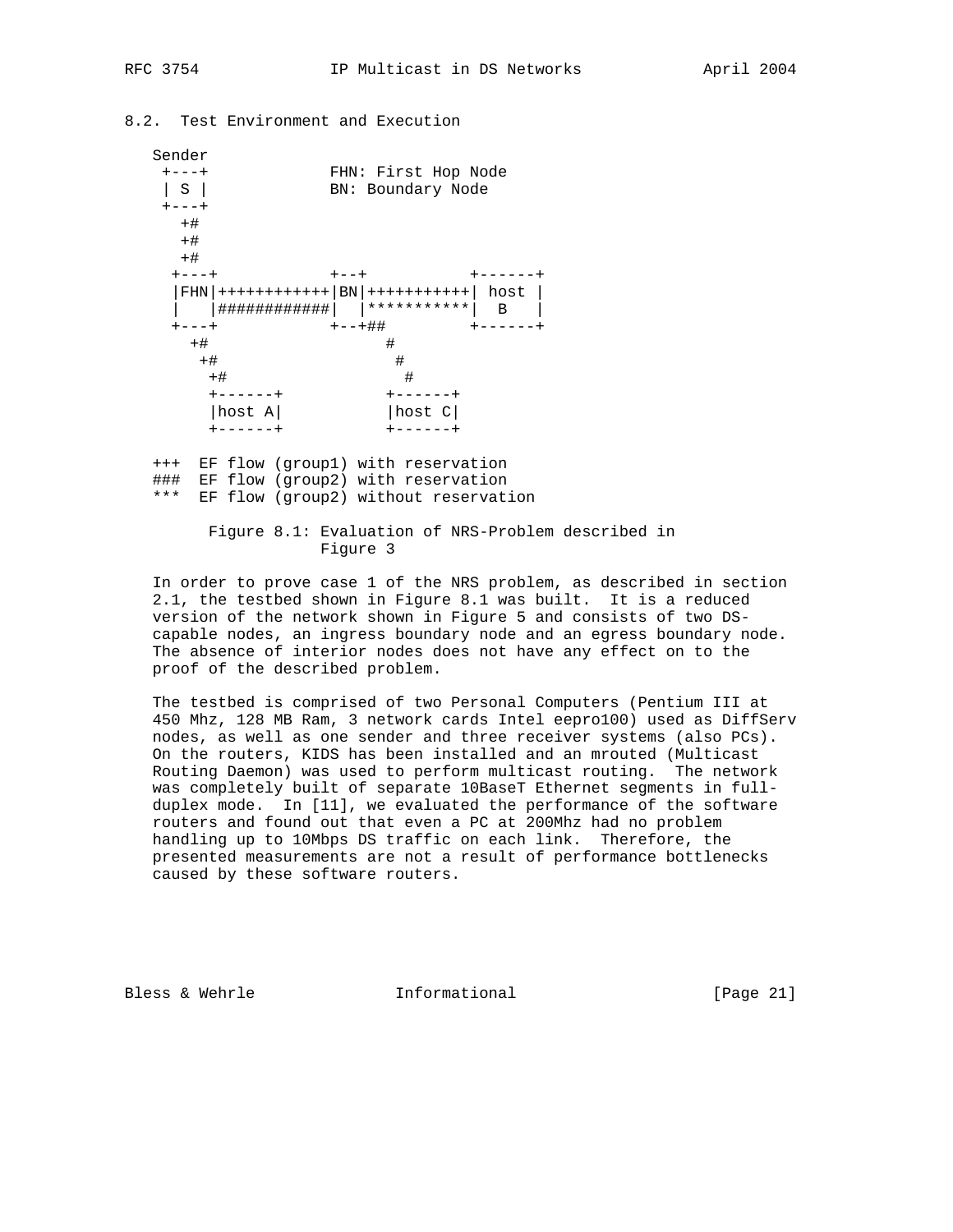# 8.2. Test Environment and Execution

| Sender<br>$+ - - - +$<br>S I<br>$+ - - - +$ |                                                      |           | FHN: First Hop Node<br>BN: Boundary Node |                      |
|---------------------------------------------|------------------------------------------------------|-----------|------------------------------------------|----------------------|
| $+#$<br>$+#$<br>$+#$                        |                                                      |           |                                          |                      |
| $+ - - - +$                                 | $ FHN $ +++++++++++++ $ BN $ ++++++++++++ $  host  $ | $+ - - +$ |                                          | $+ - - - - - -$<br>B |
| $+ - - - +$<br>$+#$                         |                                                      | +--+##    | #                                        | ------+              |
| $+#$<br>$+#$                                |                                                      |           | #<br>#                                   |                      |
|                                             | $+ - - - - - +$<br>host A                            |           | $+ - - - - - +$<br> host C               |                      |

 +++ EF flow (group1) with reservation ### EF flow (group2) with reservation \*\*\* EF flow (group2) without reservation

> Figure 8.1: Evaluation of NRS-Problem described in Figure 3

 In order to prove case 1 of the NRS problem, as described in section 2.1, the testbed shown in Figure 8.1 was built. It is a reduced version of the network shown in Figure 5 and consists of two DS capable nodes, an ingress boundary node and an egress boundary node. The absence of interior nodes does not have any effect on to the proof of the described problem.

 The testbed is comprised of two Personal Computers (Pentium III at 450 Mhz, 128 MB Ram, 3 network cards Intel eepro100) used as DiffServ nodes, as well as one sender and three receiver systems (also PCs). On the routers, KIDS has been installed and an mrouted (Multicast Routing Daemon) was used to perform multicast routing. The network was completely built of separate 10BaseT Ethernet segments in full duplex mode. In [11], we evaluated the performance of the software routers and found out that even a PC at 200Mhz had no problem handling up to 10Mbps DS traffic on each link. Therefore, the presented measurements are not a result of performance bottlenecks caused by these software routers.

Bless & Wehrle **Informational** [Page 21]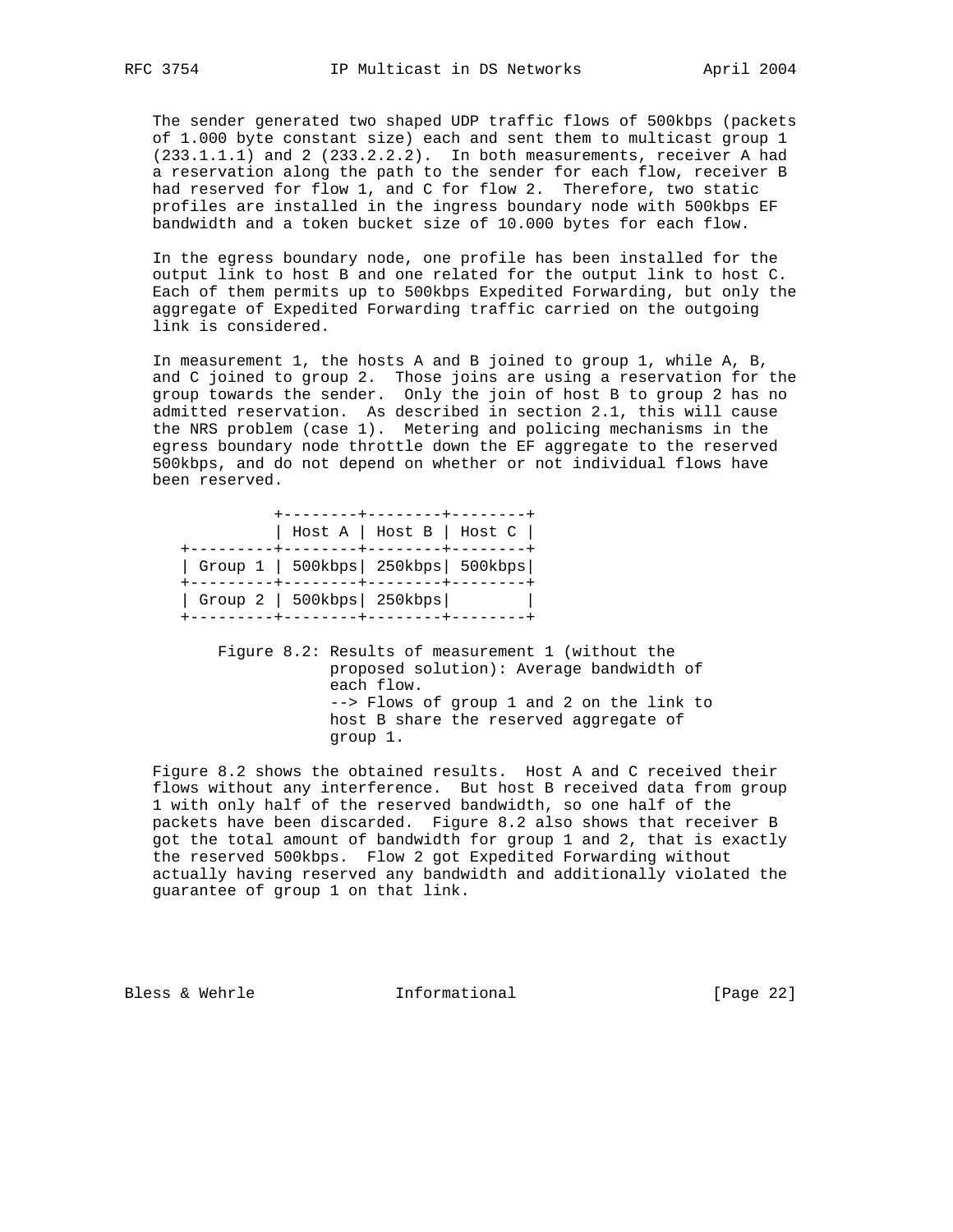The sender generated two shaped UDP traffic flows of 500kbps (packets of 1.000 byte constant size) each and sent them to multicast group 1 (233.1.1.1) and 2 (233.2.2.2). In both measurements, receiver A had a reservation along the path to the sender for each flow, receiver B had reserved for flow 1, and C for flow 2. Therefore, two static profiles are installed in the ingress boundary node with 500kbps EF bandwidth and a token bucket size of 10.000 bytes for each flow.

 In the egress boundary node, one profile has been installed for the output link to host B and one related for the output link to host C. Each of them permits up to 500kbps Expedited Forwarding, but only the aggregate of Expedited Forwarding traffic carried on the outgoing link is considered.

 In measurement 1, the hosts A and B joined to group 1, while A, B, and C joined to group 2. Those joins are using a reservation for the group towards the sender. Only the join of host B to group 2 has no admitted reservation. As described in section 2.1, this will cause the NRS problem (case 1). Metering and policing mechanisms in the egress boundary node throttle down the EF aggregate to the reserved 500kbps, and do not depend on whether or not individual flows have been reserved.

|                                                                         | Host A   Host B   Host C |  |
|-------------------------------------------------------------------------|--------------------------|--|
| $\vert$ Group 1 $\vert$ 500kbps $\vert$ 250kbps $\vert$ 500kbps $\vert$ |                          |  |
| Group 2   500kbps   250kbps                                             |                          |  |

 Figure 8.2: Results of measurement 1 (without the proposed solution): Average bandwidth of each flow. --> Flows of group 1 and 2 on the link to host B share the reserved aggregate of group 1.

 Figure 8.2 shows the obtained results. Host A and C received their flows without any interference. But host B received data from group 1 with only half of the reserved bandwidth, so one half of the packets have been discarded. Figure 8.2 also shows that receiver B got the total amount of bandwidth for group 1 and 2, that is exactly the reserved 500kbps. Flow 2 got Expedited Forwarding without actually having reserved any bandwidth and additionally violated the guarantee of group 1 on that link.

Bless & Wehrle **Informational** [Page 22]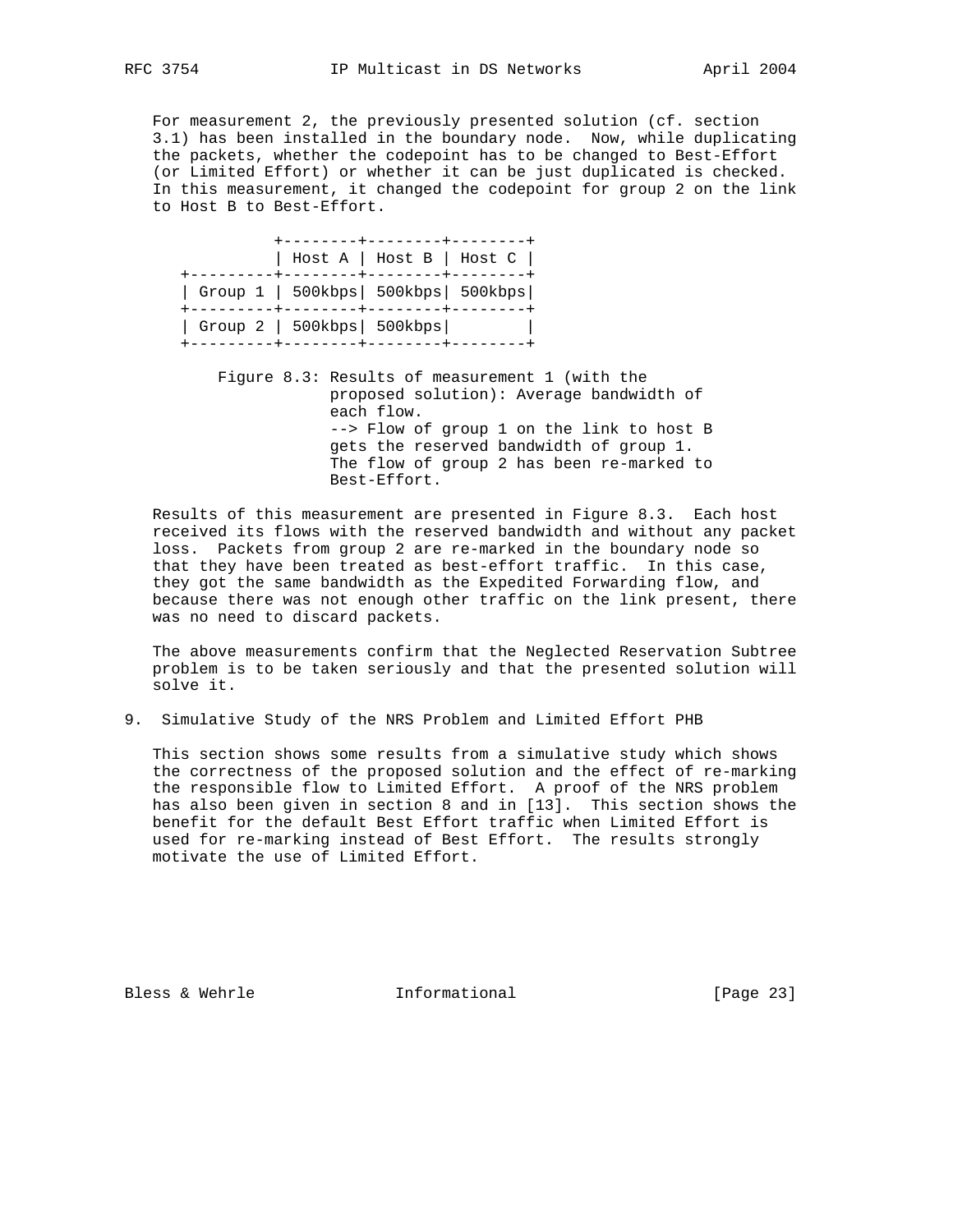For measurement 2, the previously presented solution (cf. section 3.1) has been installed in the boundary node. Now, while duplicating the packets, whether the codepoint has to be changed to Best-Effort (or Limited Effort) or whether it can be just duplicated is checked. In this measurement, it changed the codepoint for group 2 on the link to Host B to Best-Effort.

|                                       |  | Host A   Host B   Host C |
|---------------------------------------|--|--------------------------|
| Group 1   500kbps   500kbps   500kbps |  |                          |
| Group 2   500kbps   500kbps           |  |                          |

 Figure 8.3: Results of measurement 1 (with the proposed solution): Average bandwidth of each flow. --> Flow of group 1 on the link to host B gets the reserved bandwidth of group 1. The flow of group 2 has been re-marked to Best-Effort.

 Results of this measurement are presented in Figure 8.3. Each host received its flows with the reserved bandwidth and without any packet loss. Packets from group 2 are re-marked in the boundary node so that they have been treated as best-effort traffic. In this case, they got the same bandwidth as the Expedited Forwarding flow, and because there was not enough other traffic on the link present, there was no need to discard packets.

 The above measurements confirm that the Neglected Reservation Subtree problem is to be taken seriously and that the presented solution will solve it.

9. Simulative Study of the NRS Problem and Limited Effort PHB

 This section shows some results from a simulative study which shows the correctness of the proposed solution and the effect of re-marking the responsible flow to Limited Effort. A proof of the NRS problem has also been given in section 8 and in [13]. This section shows the benefit for the default Best Effort traffic when Limited Effort is used for re-marking instead of Best Effort. The results strongly motivate the use of Limited Effort.

Bless & Wehrle **Informational** [Page 23]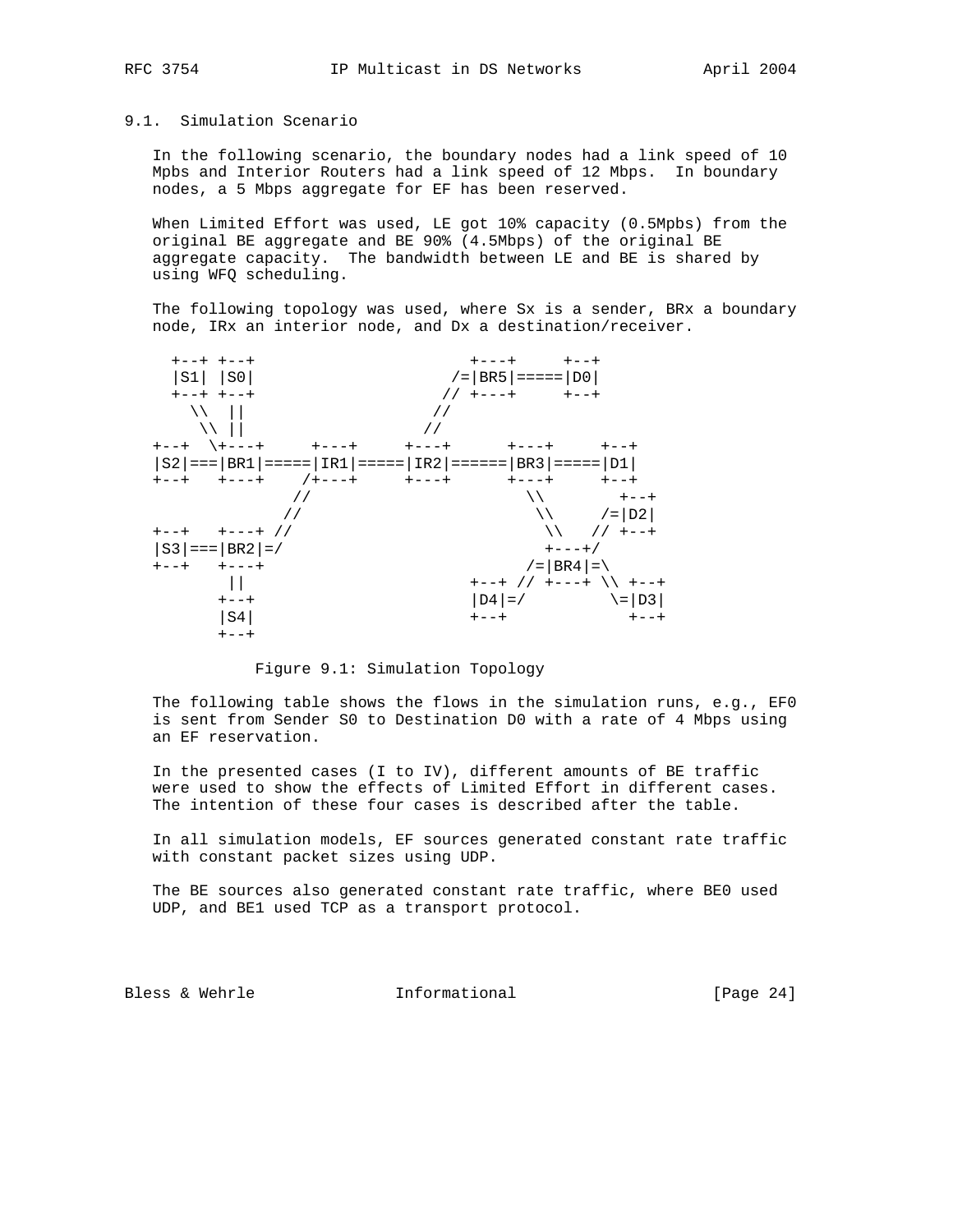# 9.1. Simulation Scenario

 In the following scenario, the boundary nodes had a link speed of 10 Mpbs and Interior Routers had a link speed of 12 Mbps. In boundary nodes, a 5 Mbps aggregate for EF has been reserved.

 When Limited Effort was used, LE got 10% capacity (0.5Mpbs) from the original BE aggregate and BE 90% (4.5Mbps) of the original BE aggregate capacity. The bandwidth between LE and BE is shared by using WFQ scheduling.

 The following topology was used, where Sx is a sender, BRx a boundary node, IRx an interior node, and Dx a destination/receiver.



Figure 9.1: Simulation Topology

 The following table shows the flows in the simulation runs, e.g., EF0 is sent from Sender S0 to Destination D0 with a rate of 4 Mbps using an EF reservation.

 In the presented cases (I to IV), different amounts of BE traffic were used to show the effects of Limited Effort in different cases. The intention of these four cases is described after the table.

 In all simulation models, EF sources generated constant rate traffic with constant packet sizes using UDP.

 The BE sources also generated constant rate traffic, where BE0 used UDP, and BE1 used TCP as a transport protocol.

Bless & Wehrle **Informational** [Page 24]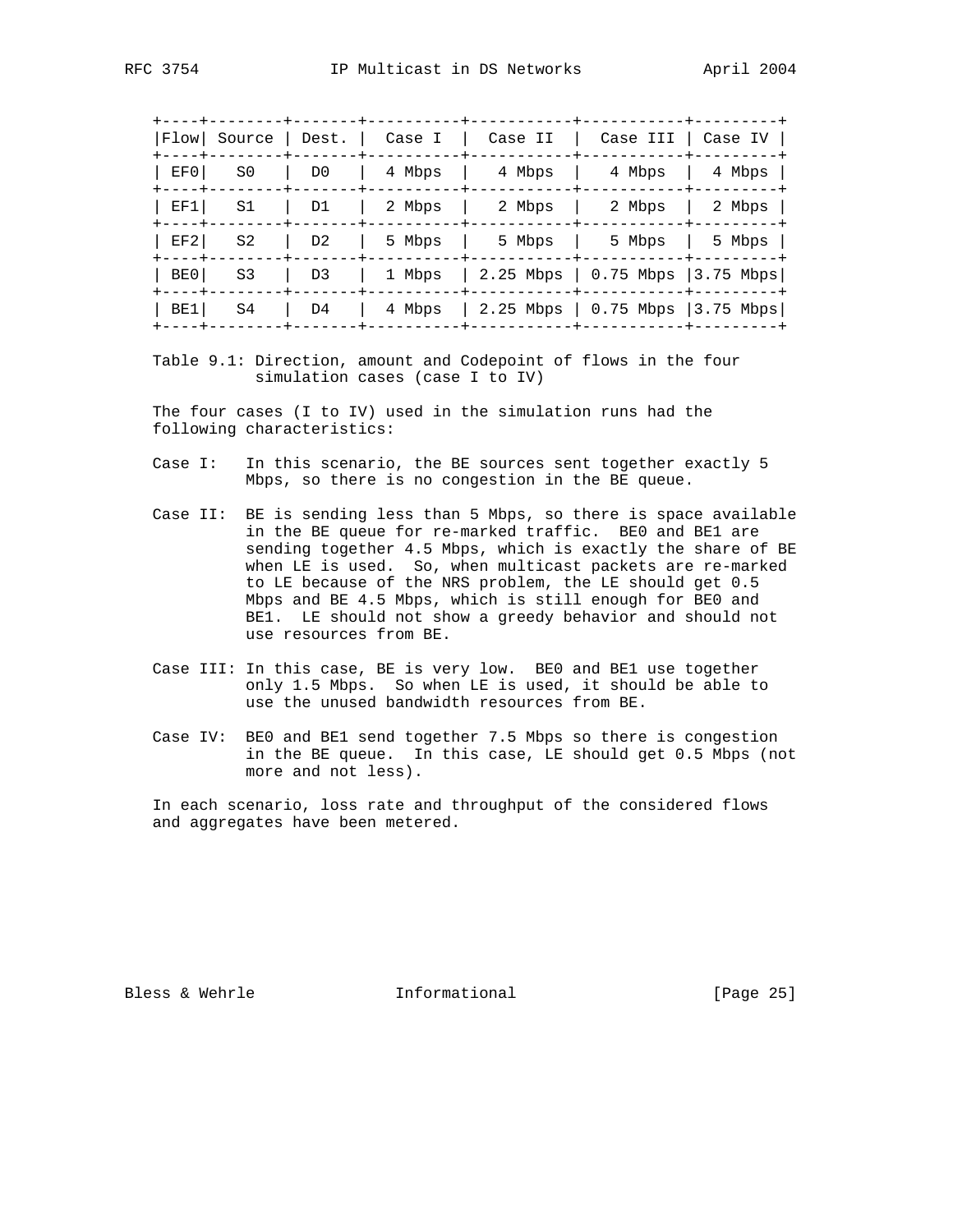+----+--------+-------+----------+-----------+-----------+---------+ |Flow| Source | Dest. | Case I | Case II | Case III | Case IV | +----+--------+-------+----------+-----------+-----------+---------+ | EF0| S0 | D0 | 4 Mbps | 4 Mbps | 4 Mbps | 4 Mbps | +----+--------+-------+----------+-----------+-----------+---------+ | EF1| S1 | D1 | 2 Mbps | 2 Mbps | 2 Mbps | 2 Mbps | +----+--------+-------+----------+-----------+-----------+---------+ | EF2| S2 | D2 | 5 Mbps | 5 Mbps | 5 Mbps | 5 Mbps | +----+--------+-------+----------+-----------+-----------+---------+ | BE0| S3 | D3 | 1 Mbps | 2.25 Mbps | 0.75 Mbps |3.75 Mbps| +----+--------+-------+----------+-----------+-----------+---------+ | BE1| S4 | D4 | 4 Mbps | 2.25 Mbps | 0.75 Mbps |3.75 Mbps| +----+--------+-------+----------+-----------+-----------+---------+

 Table 9.1: Direction, amount and Codepoint of flows in the four simulation cases (case I to IV)

 The four cases (I to IV) used in the simulation runs had the following characteristics:

- Case I: In this scenario, the BE sources sent together exactly 5 Mbps, so there is no congestion in the BE queue.
- Case II: BE is sending less than 5 Mbps, so there is space available in the BE queue for re-marked traffic. BE0 and BE1 are sending together 4.5 Mbps, which is exactly the share of BE when LE is used. So, when multicast packets are re-marked to LE because of the NRS problem, the LE should get 0.5 Mbps and BE 4.5 Mbps, which is still enough for BE0 and BE1. LE should not show a greedy behavior and should not use resources from BE.
- Case III: In this case, BE is very low. BE0 and BE1 use together only 1.5 Mbps. So when LE is used, it should be able to use the unused bandwidth resources from BE.
- Case IV: BE0 and BE1 send together 7.5 Mbps so there is congestion in the BE queue. In this case, LE should get 0.5 Mbps (not more and not less).

 In each scenario, loss rate and throughput of the considered flows and aggregates have been metered.

Bless & Wehrle **Informational** [Page 25]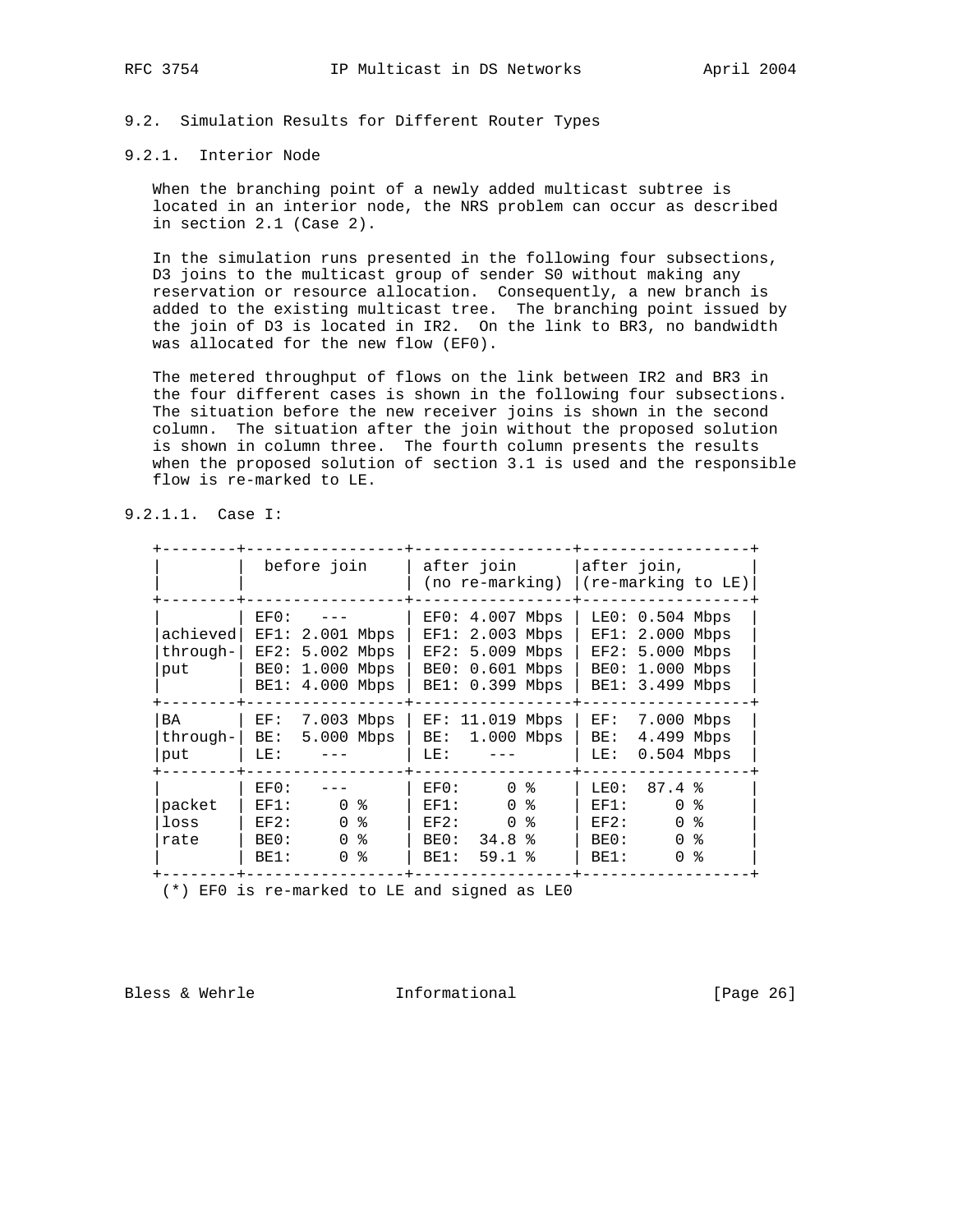# 9.2. Simulation Results for Different Router Types

# 9.2.1. Interior Node

 When the branching point of a newly added multicast subtree is located in an interior node, the NRS problem can occur as described in section 2.1 (Case 2).

 In the simulation runs presented in the following four subsections, D3 joins to the multicast group of sender S0 without making any reservation or resource allocation. Consequently, a new branch is added to the existing multicast tree. The branching point issued by the join of D3 is located in IR2. On the link to BR3, no bandwidth was allocated for the new flow (EF0).

 The metered throughput of flows on the link between IR2 and BR3 in the four different cases is shown in the following four subsections. The situation before the new receiver joins is shown in the second column. The situation after the join without the proposed solution is shown in column three. The fourth column presents the results when the proposed solution of section 3.1 is used and the responsible flow is re-marked to LE.

9.2.1.1. Case I:

|                              | before join                                                                                           | after join<br>(no re-marking)                                                                                 | after join,<br> (re-marking to LE)                                                                                   |
|------------------------------|-------------------------------------------------------------------------------------------------------|---------------------------------------------------------------------------------------------------------------|----------------------------------------------------------------------------------------------------------------------|
| achieved<br>through-1<br>put | $EF()$ :<br>$EF1: 2.001$ Mbps<br>EF2: 5.002 Mbps<br>1.000 Mbps<br>BE0:<br>BE1: 4.000 Mbps             | $EF0: 4.007$ Mbps<br>2.003 Mbps<br>EF1:<br>$EF2: 5.009$ Mbps<br>BE0: 0.601 Mbps<br>BE1: 0.399 Mbps            | $LE0: 0.504$ Mbps<br>$EF1: 2.000$ Mbps<br>$EF2: 5.000$ Mbps<br>BE0: 1.000 Mbps<br>BE1: 3.499 Mbps                    |
| <b>BA</b><br>through-<br>put | 7.003 Mbps<br>EF:<br>5.000 Mbps<br>BE:<br>LE:                                                         | 11.019 Mbps<br>EF:<br>$1.000$ Mbps<br>BE:<br>LE:                                                              | 7.000 Mbps<br>EF:<br>4.499 Mbps<br>BE:<br>$0.504$ Mbps<br>LE:                                                        |
| packet<br>loss<br>rate       | EF0:<br>0 <sup>8</sup><br>EF1:<br>0 <sup>8</sup><br>EF2:<br>နွ<br>$\Omega$<br>BE0:<br>နွ<br>BE1:<br>0 | $\Omega$<br>ႜ<br>EF0:<br>$\Omega$<br>ႜ<br>EF1:<br>$\Omega$<br>ႜႂ<br>EF2:<br>34.8%<br>BE0:<br>BE1:<br>$59.1$ % | 87.4%<br>LEO:<br>$\Omega$<br>ႜೢ<br>EF1:<br>$\Omega$<br>ႜ<br>EF2:<br>$\Omega$<br>န္<br>BE0:<br>န္<br>$\Omega$<br>BE1: |

(\*) EF0 is re-marked to LE and signed as LE0

Bless & Wehrle **Informational** [Page 26]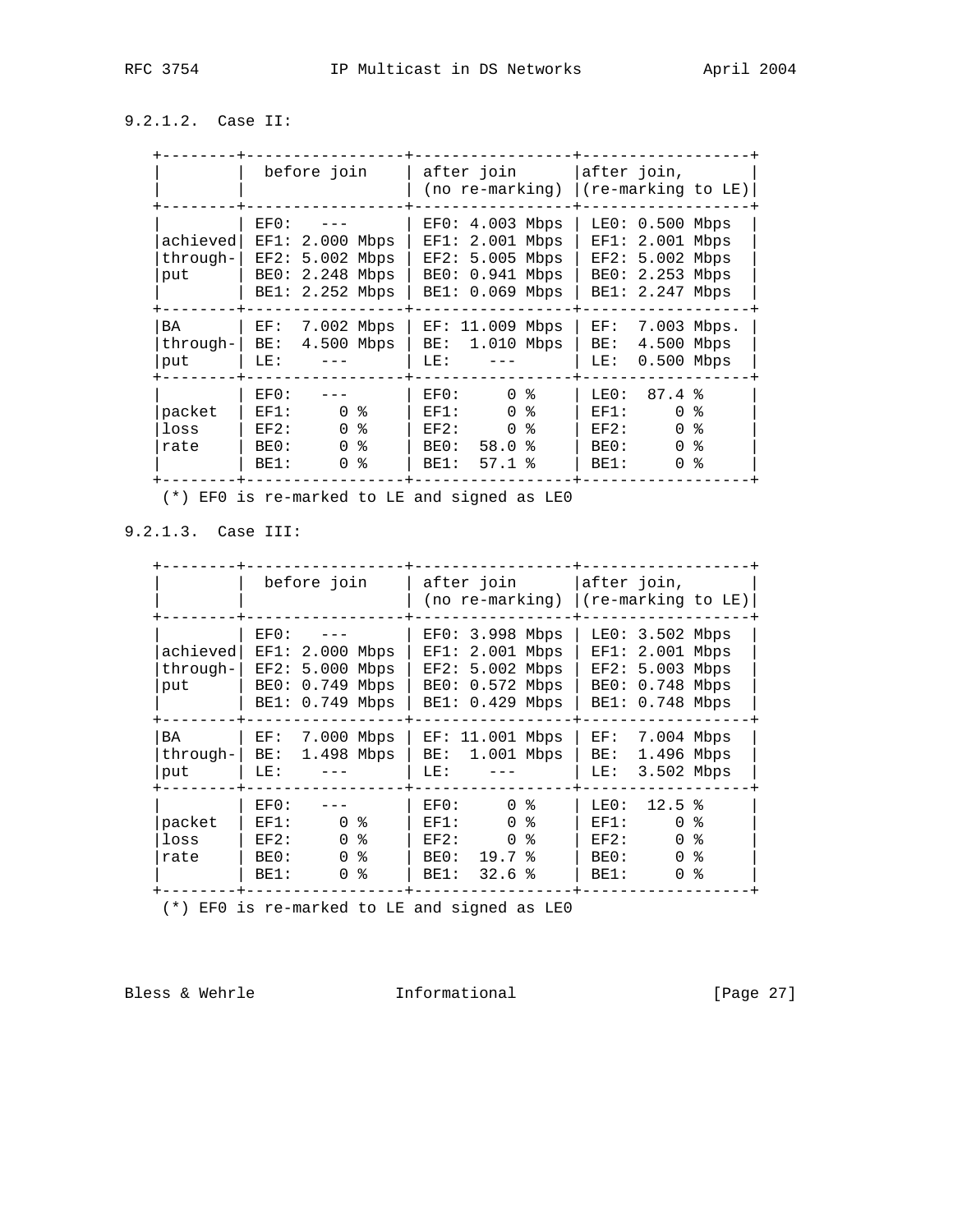# 9.2.1.2. Case II:

|                              | before join                                                                                                 | after join<br>(no re-marking)                                                                                                   | after join,<br>(re-marking to LE)                                                                                   |
|------------------------------|-------------------------------------------------------------------------------------------------------------|---------------------------------------------------------------------------------------------------------------------------------|---------------------------------------------------------------------------------------------------------------------|
| achieved<br>through-1<br>put | EFO:<br>EF1: 2.000 Mbps<br>EF2: 5.002 Mbps<br>2.248 Mbps<br>BE0:<br>BE1: 2.252 Mbps                         | $EF0: 4.003$ Mbps<br>2.001 Mbps<br>EF1:<br>$EF2: 5.005$ Mbps<br>BE0: 0.941 Mbps<br>BE1: 0.069 Mbps                              | 0.500 Mbps<br>LE0:<br>2.001 Mbps<br>EF1:<br>$EF2: 5.002$ Mbps<br>2.253 Mbps<br>BE0:<br>2.247 Mbps<br>BE1:           |
| <b>BA</b><br>through-<br>put | 7.002 Mbps<br>EF:<br>4.500 Mbps<br>BE:<br>LE:                                                               | 11.009<br>Mbps<br>EF:<br>1.010 Mbps<br>BE:<br>LE:                                                                               | 7.003 Mbps.<br>EF:<br>4.500<br>Mbps<br>BE:<br>$0.500$ Mbps<br>LE:                                                   |
| packet<br>loss<br>rate       | EF0:<br>ႜ<br>$\Omega$<br>EF1:<br>ႜႜ<br>$\Omega$<br>EF2:<br>န္<br>$\Omega$<br>BE0:<br>န္<br>BE1:<br>$\Omega$ | $\Omega$<br>ႜ<br>EF0:<br>$\Omega$<br>ႜႂ<br>EF1:<br>$\Omega$<br>°<br>EF2:<br>BE0:<br>58.0<br>- 옹<br>BE1:<br>$57.1$ $\frac{1}{6}$ | 87.4%<br>LEO:<br>$\Omega$<br>ႜ<br>EF1:<br>$\Omega$<br>နွ<br>EF2:<br>နွ<br>$\Omega$<br>BE0:<br>፠<br>BE1:<br>$\Omega$ |

(\*) EF0 is re-marked to LE and signed as LE0

9.2.1.3. Case III:

|                             | before join                                                                                          | after join<br>(no re-marking)                                                                              | after join,<br>(re-marking to LE)                                                                                 |
|-----------------------------|------------------------------------------------------------------------------------------------------|------------------------------------------------------------------------------------------------------------|-------------------------------------------------------------------------------------------------------------------|
| achieved<br>through-<br>put | $EF()$ :<br>EF1: 2.000 Mbps<br>EF2: 5.000 Mbps<br>0.749 Mbps<br>BE0:<br>BE1: 0.749 Mbps              | $EF0: 3.998$ Mbps<br>2.001 Mbps<br>EF1:<br>$EF2: 5.002$ Mbps<br>BE0: 0.572 Mbps<br>BE1: 0.429 Mbps         | $LE0: 3.502$ Mbps<br>$EF1: 2.001$ Mbps<br>$EF2: 5.003$ Mbps<br>BE0: 0.748 Mbps<br>BE1: 0.748 Mbps                 |
| BA<br>through-<br>put       | 7.000 Mbps<br>EF:<br>1.498 Mbps<br>BE:<br>LE:                                                        | 11.001 Mbps<br>EF:<br>1.001 Mbps<br>BE:<br>LE:                                                             | 7.004 Mbps<br>EF:<br>1.496 Mbps<br>BE:<br>3.502 Mbps<br>LE:                                                       |
| packet<br>loss<br>rate      | EF0:<br>0 <sup>8</sup><br>EF1:<br>0 <sup>8</sup><br>EF2:<br>န္<br>$\Omega$<br>BE0:<br>ွ<br>BE1:<br>0 | $\Omega$<br>ႜ<br>EFO:<br>$\Omega$<br>ႜႂ<br>EF1:<br>°<br>$\Omega$<br>EF2:<br>BE0:<br>19.7%<br>32.6%<br>BE1: | 12.5%<br>LE0:<br>$\Omega$<br>ু<br>EF1:<br>$\Omega$<br>ႜ<br>EF2:<br>$\Omega$<br>°<br>BE0:<br>፠<br>BE1:<br>$\Omega$ |

(\*) EF0 is re-marked to LE and signed as LE0

Bless & Wehrle **Informational** [Page 27]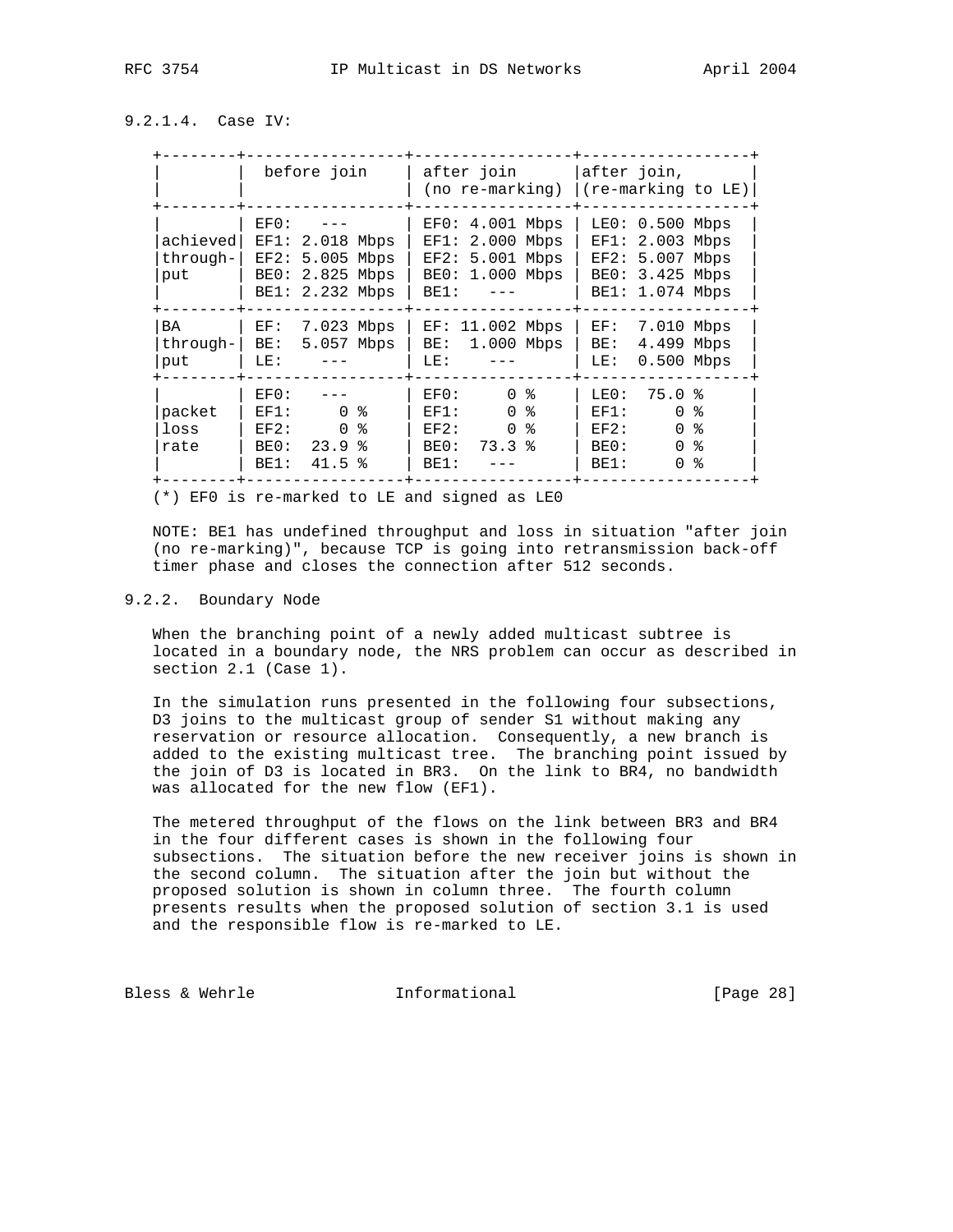# 9.2.1.4. Case IV:

|                              | before join                                                                                       | after join<br>(no re-marking)                                                                    | after join,<br>(re-marking to LE)                                                                                       |
|------------------------------|---------------------------------------------------------------------------------------------------|--------------------------------------------------------------------------------------------------|-------------------------------------------------------------------------------------------------------------------------|
| achieved<br>through-<br>put  | EFO:<br>EF1: 2.018 Mbps<br>EF2: 5.005 Mbps<br>BE0: 2.825 Mbps<br>BE1: 2.232 Mbps                  | $EF0: 4.001$ Mbps<br>$EF1: 2.000$ Mbps<br>$EF2: 5.001$ Mbps<br>BE0: 1.000 Mbps<br>BE1:           | $0.500$ Mbps<br>LE0:<br>EF1:<br>2.003 Mbps<br>5.007 Mbps<br>EF2:<br>3.425 Mbps<br>BE0:<br>1.074 Mbps<br>BE1:            |
| <b>BA</b><br>through-<br>put | 7.023 Mbps<br>EF:<br>5.057 Mbps<br>BE:<br>LE:                                                     | $EF: 11.002$ Mbps<br>1.000 Mbps<br>BE:<br>LE:                                                    | 7.010 Mbps<br>EF:<br>4.499 Mbps<br>BE:<br>$0.500$ Mbps<br>LE:                                                           |
| packet<br>loss<br>rate       | EF0:<br>0 <sub>8</sub><br>EF1:<br>ႜ<br>$\Omega$<br>EF2:<br>ႜ<br>BE0:<br>23.9<br>41.5<br>ႜ<br>BE1: | $\Omega$<br>ႜ<br>EF0:<br>$\Omega$<br>ႜ<br>EF1:<br>$\Omega$<br>ႜ<br>EF2:<br>73.3%<br>BE0:<br>BE1: | $75.0*$<br>LE0:<br>န္<br>EF1:<br>$\Omega$<br>န္<br>$\Omega$<br>EF2:<br>နွ<br>$\Omega$<br>BE0:<br>န္<br>$\Omega$<br>BE1: |

(\*) EF0 is re-marked to LE and signed as LE0

 NOTE: BE1 has undefined throughput and loss in situation "after join (no re-marking)", because TCP is going into retransmission back-off timer phase and closes the connection after 512 seconds.

# 9.2.2. Boundary Node

 When the branching point of a newly added multicast subtree is located in a boundary node, the NRS problem can occur as described in section 2.1 (Case 1).

 In the simulation runs presented in the following four subsections, D3 joins to the multicast group of sender S1 without making any reservation or resource allocation. Consequently, a new branch is added to the existing multicast tree. The branching point issued by the join of D3 is located in BR3. On the link to BR4, no bandwidth was allocated for the new flow (EF1).

 The metered throughput of the flows on the link between BR3 and BR4 in the four different cases is shown in the following four subsections. The situation before the new receiver joins is shown in the second column. The situation after the join but without the proposed solution is shown in column three. The fourth column presents results when the proposed solution of section 3.1 is used and the responsible flow is re-marked to LE.

Bless & Wehrle **Informational** [Page 28]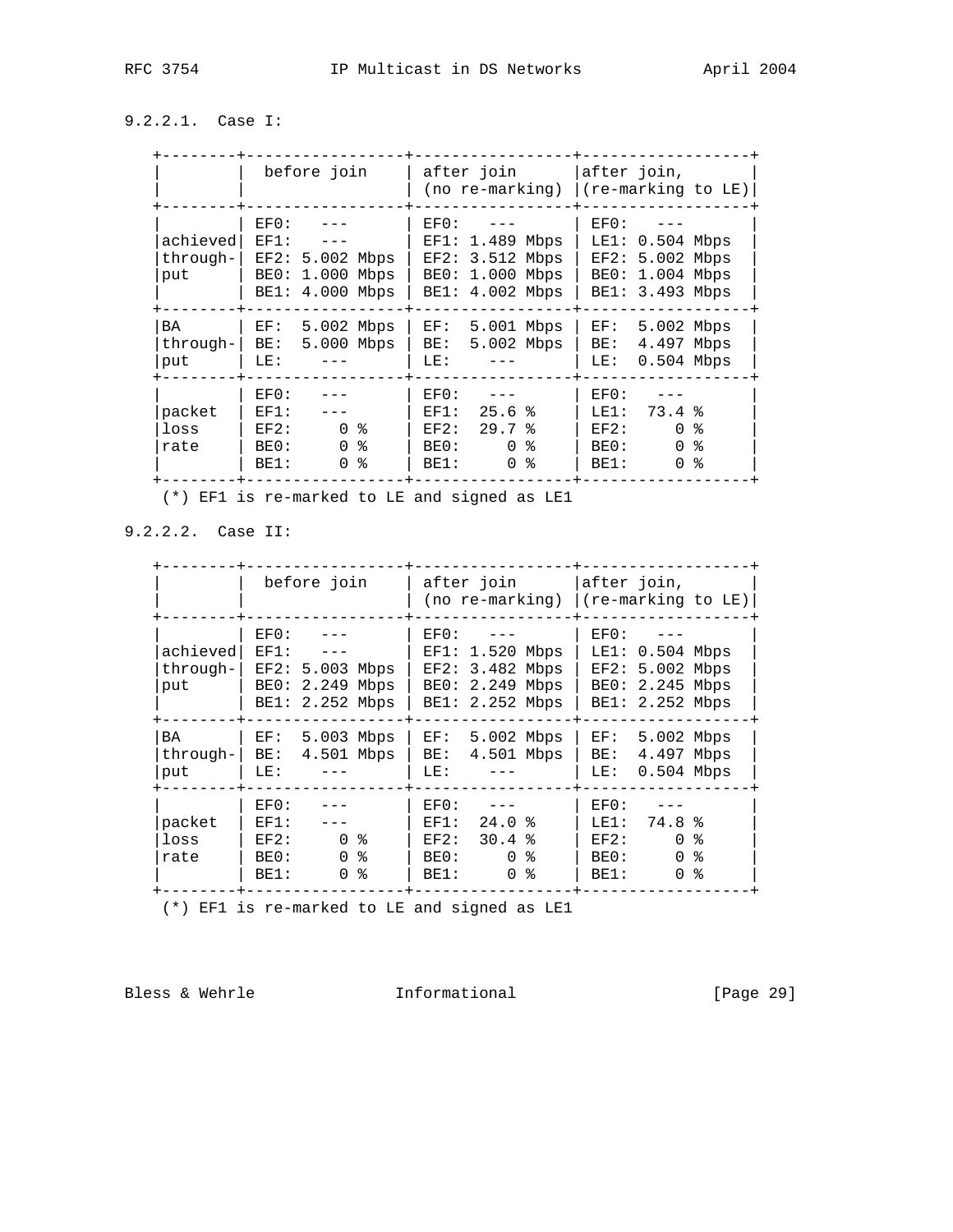# 9.2.2.1. Case I:

|                              | before join                                                                                | after join<br>(no re-marking)                                                            | after join,<br>(re-marking to LE)                                                                 |
|------------------------------|--------------------------------------------------------------------------------------------|------------------------------------------------------------------------------------------|---------------------------------------------------------------------------------------------------|
| achieved<br>through-1<br>put | EFO:<br>EF1:<br>EF2: 5.002 Mbps<br>1.000 Mbps<br>BE0:<br>BE1: 4.000 Mbps                   | EF0:<br>$EF1: 1.489$ Mbps<br>$EF2: 3.512$ Mbps<br>1.000 Mbps<br>BE0:<br>BE1: 4.002 Mbps  | $EF()$ :<br>$LE1: 0.504$ Mbps<br>$EF2: 5.002$ Mbps<br>1.004 Mbps<br>BE0:<br>BE1: 3.493 Mbps       |
| <b>BA</b><br>through-<br>put | 5.002 Mbps<br>EF:<br>5.000 Mbps<br>BE:<br>LE:                                              | 5.001 Mbps<br>EF:<br>5.002 Mbps<br>BE:<br>LE:                                            | 5.002 Mbps<br>EF:<br>4.497 Mbps<br>BE:<br>$0.504$ Mbps<br>LE:                                     |
| packet<br>loss<br>rate       | EF0:<br>EF1:<br>0 <sup>8</sup><br>EF2:<br>$\Omega$<br>န္<br>BE0:<br>န္<br>BE1:<br>$\Omega$ | EFO:<br>25.6%<br>EF1:<br>29.7%<br>EF2:<br>$\Omega$<br>BE0:<br>ႜ<br>$\Omega$<br>°<br>BE1: | EF0:<br>73.4%<br>LE1:<br>ႜ<br>EF2:<br>$\Omega$<br>နွ<br>$\Omega$<br>BE0:<br>፠<br>BE1:<br>$\Omega$ |

(\*) EF1 is re-marked to LE and signed as LE1

9.2.2.2. Case II:

|                              | before join                                                                                | after join<br>(no re-marking)                                                              | after join,<br>(re-marking to LE)                                                                         |
|------------------------------|--------------------------------------------------------------------------------------------|--------------------------------------------------------------------------------------------|-----------------------------------------------------------------------------------------------------------|
| achieved<br>through-1<br>put | EFO:<br>EF1:<br>EF2: 5.003 Mbps<br>BE0:<br>2.249 Mbps<br>BE1: 2.252 Mbps                   | $EF()$ :<br>$EF1: 1.520$ Mbps<br>$EF2: 3.482$ Mbps<br>BE0: 2.249 Mbps<br>BE1: 2.252 Mbps   | $EF()$ :<br>LE1: 0.504 Mbps<br>$EF2: 5.002$ Mbps<br>BE0: 2.245 Mbps<br>BE1: 2.252 Mbps                    |
| BA<br>through-<br>put        | 5.003 Mbps<br>EF:<br>4.501 Mbps<br>BE:<br>LE:                                              | 5.002 Mbps<br>EF:<br>4.501 Mbps<br>BE:<br>LE:                                              | 5.002 Mbps<br>EF:<br>4.497 Mbps<br>BE:<br>$0.504$ Mbps<br>LE:                                             |
| packet<br>loss<br>rate       | EF0:<br>EF1:<br>0 <sup>8</sup><br>EF2:<br>್ಠಿ<br>$\Omega$<br>BE0:<br>ু<br>BE1:<br>$\Omega$ | EFO:<br>24.0%<br>EF1:<br>30.4%<br>EF2:<br>0 <sup>8</sup><br>BE0:<br>န္<br>$\Omega$<br>BE1: | EF0:<br>74.8%<br>LE1:<br>$\Omega$<br>ႜೢ<br>EF2:<br>$\Omega$<br>$\approx$<br>BE0:<br>°<br>BE1:<br>$\Omega$ |

(\*) EF1 is re-marked to LE and signed as LE1

Bless & Wehrle **Informational** [Page 29]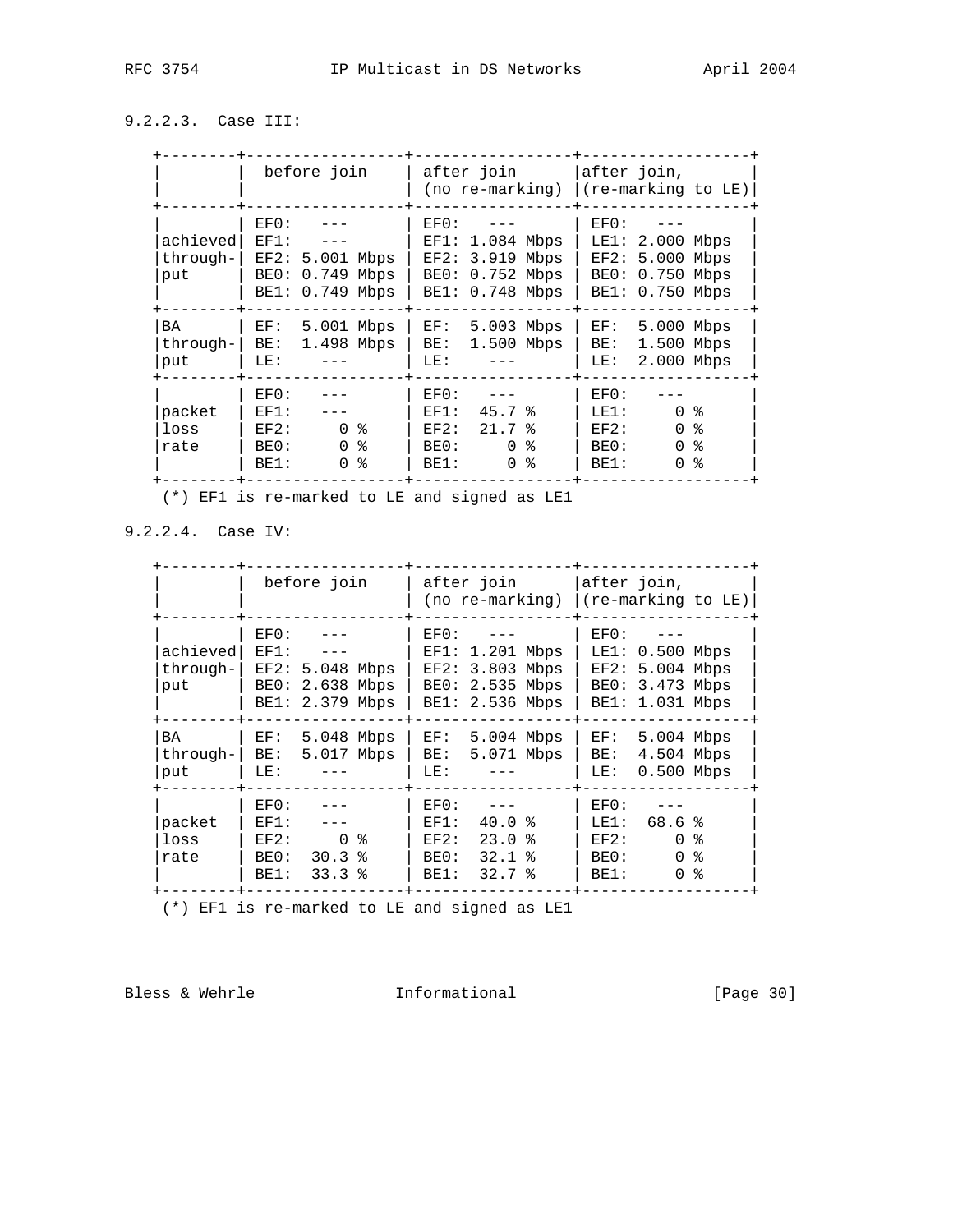# 9.2.2.3. Case III:

|                              | before join                                                                         | after join<br>(no re-marking)                                                             | after join,<br>(re-marking to LE)                                                                           |
|------------------------------|-------------------------------------------------------------------------------------|-------------------------------------------------------------------------------------------|-------------------------------------------------------------------------------------------------------------|
| achieved<br>through-1<br>put | EFO:<br>EF1:<br>EF2: 5.001 Mbps<br>BE0:<br>$0.749$ Mbps<br>BE1: 0.749 Mbps          | EF0:<br>1.084 Mbps<br>EF1:<br>EF2:<br>3.919 Mbps<br>0.752 Mbps<br>BE0:<br>BE1: 0.748 Mbps | $EF()$ :<br>$LE1: 2.000$ Mbps<br>EF2:<br>5.000 Mbps<br>BE0:<br>$0.750$ Mbps<br>0.750 Mbps<br>BE1:           |
| <b>BA</b><br>through-<br>put | 5.001 Mbps<br>EF:<br>1.498 Mbps<br>BE:<br>LE:                                       | 5.003 Mbps<br>EF:<br>1.500 Mbps<br>BE:<br>LE:                                             | 5.000 Mbps<br>EF:<br>1.500<br>Mbps<br>BE:<br>2.000 Mbps<br>LE:                                              |
| packet<br>loss<br>rate       | EF0:<br>EF1:<br>0 <sup>8</sup><br>EF2:<br>$\Omega$<br>န္<br>BE0:<br>န္<br>BE1:<br>0 | EFO:<br>45.7%<br>EF1:<br>EF2:<br>21.7%<br>$\Omega$<br>ႜ<br>BE0:<br>°<br>BE1:<br>$\Omega$  | EF0:<br>0 <sup>8</sup><br>LE1:<br>ႜႂ<br>$\Omega$<br>EF2:<br>နွ<br>$\Omega$<br>BE0:<br>፠<br>BE1:<br>$\Omega$ |

(\*) EF1 is re-marked to LE and signed as LE1

9.2.2.4. Case IV:

|                              | before join                                                                  | after join<br>(no re-marking)                                                            | after join,<br>(re-marking to LE)                                                                 |
|------------------------------|------------------------------------------------------------------------------|------------------------------------------------------------------------------------------|---------------------------------------------------------------------------------------------------|
| achieved<br>through-1<br>put | $EF()$ :<br>EF1:<br>EF2: 5.048 Mbps<br>BE0:<br>2.638 Mbps<br>BE1: 2.379 Mbps | $EF()$ :<br>$EF1: 1.201$ Mbps<br>$EF2: 3.803$ Mbps<br>BE0: 2.535 Mbps<br>BE1: 2.536 Mbps | EFO:<br>$LE1: 0.500$ Mbps<br>$EF2: 5.004$ Mbps<br>BE0: 3.473 Mbps<br>BE1: 1.031 Mbps              |
| BA<br>through-<br>put        | 5.048 Mbps<br>EF:<br>5.017 Mbps<br>BE:<br>LE:                                | 5.004 Mbps<br>EF:<br>5.071 Mbps<br>BE:<br>LE:                                            | 5.004 Mbps<br>EF:<br>4.504 Mbps<br>BE:<br>$0.500$ Mbps<br>LE:                                     |
| packet<br>loss<br>rate       | EFO:<br>EF1:<br>0 %<br>EF2:<br>30.3%<br>BE0:<br>33.3%<br>BE1:                | EFO:<br>40.0%<br>EF1:<br>$23.0*$<br>EF2:<br>BE0:<br>$32.1$ $%$<br>32.7%<br>BE1:          | EF0:<br>68.6%<br>LE1:<br>$\Omega$<br>EF2:<br>ႜ<br>$\Omega$<br>ႜႂ<br>BE0:<br>°<br>BE1:<br>$\Omega$ |

(\*) EF1 is re-marked to LE and signed as LE1

Bless & Wehrle **Informational** [Page 30]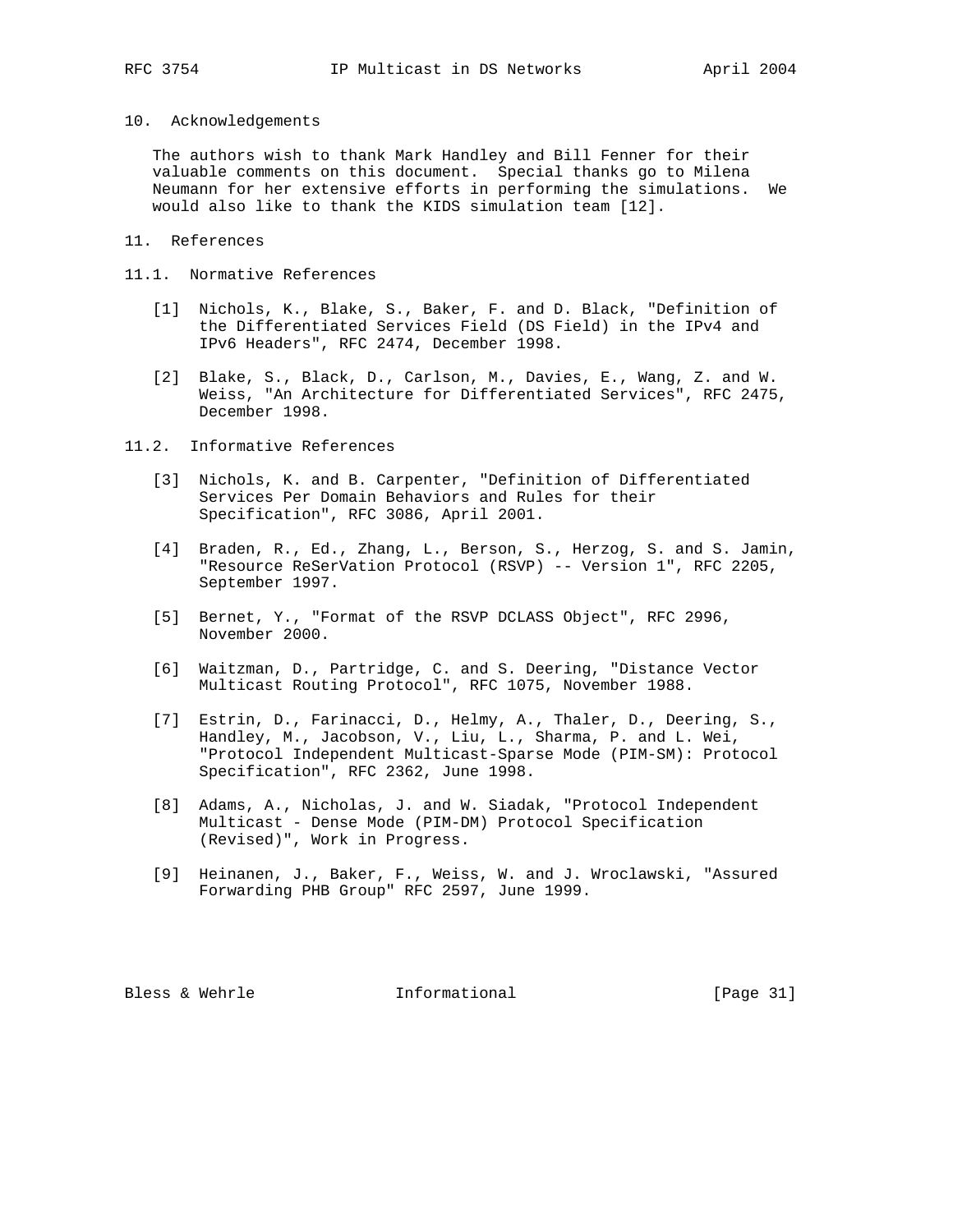#### 10. Acknowledgements

 The authors wish to thank Mark Handley and Bill Fenner for their valuable comments on this document. Special thanks go to Milena Neumann for her extensive efforts in performing the simulations. We would also like to thank the KIDS simulation team [12].

## 11. References

# 11.1. Normative References

- [1] Nichols, K., Blake, S., Baker, F. and D. Black, "Definition of the Differentiated Services Field (DS Field) in the IPv4 and IPv6 Headers", RFC 2474, December 1998.
- [2] Blake, S., Black, D., Carlson, M., Davies, E., Wang, Z. and W. Weiss, "An Architecture for Differentiated Services", RFC 2475, December 1998.

#### 11.2. Informative References

- [3] Nichols, K. and B. Carpenter, "Definition of Differentiated Services Per Domain Behaviors and Rules for their Specification", RFC 3086, April 2001.
- [4] Braden, R., Ed., Zhang, L., Berson, S., Herzog, S. and S. Jamin, "Resource ReSerVation Protocol (RSVP) -- Version 1", RFC 2205, September 1997.
- [5] Bernet, Y., "Format of the RSVP DCLASS Object", RFC 2996, November 2000.
- [6] Waitzman, D., Partridge, C. and S. Deering, "Distance Vector Multicast Routing Protocol", RFC 1075, November 1988.
- [7] Estrin, D., Farinacci, D., Helmy, A., Thaler, D., Deering, S., Handley, M., Jacobson, V., Liu, L., Sharma, P. and L. Wei, "Protocol Independent Multicast-Sparse Mode (PIM-SM): Protocol Specification", RFC 2362, June 1998.
- [8] Adams, A., Nicholas, J. and W. Siadak, "Protocol Independent Multicast - Dense Mode (PIM-DM) Protocol Specification (Revised)", Work in Progress.
- [9] Heinanen, J., Baker, F., Weiss, W. and J. Wroclawski, "Assured Forwarding PHB Group" RFC 2597, June 1999.

Bless & Wehrle **Informational** [Page 31]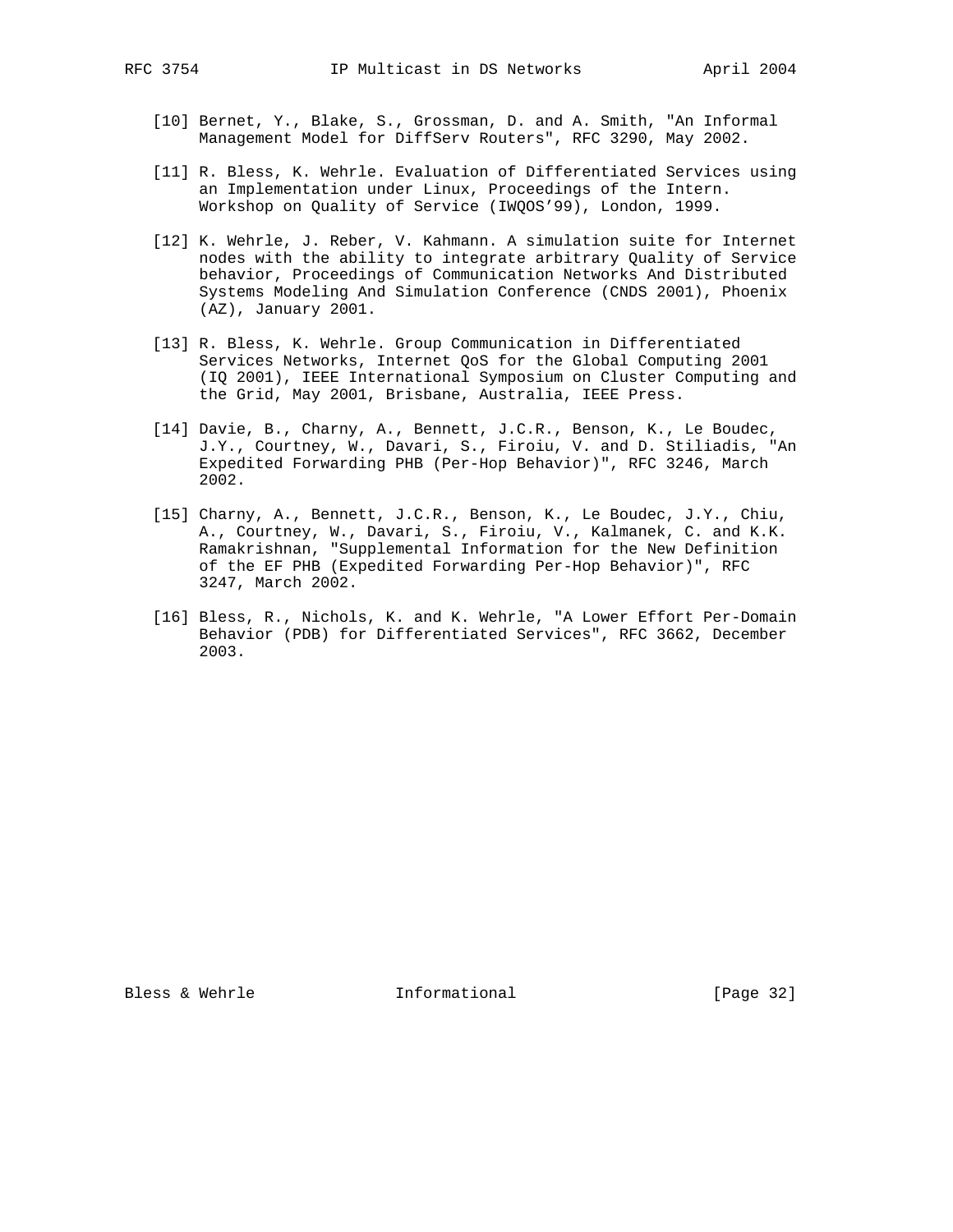- [10] Bernet, Y., Blake, S., Grossman, D. and A. Smith, "An Informal Management Model for DiffServ Routers", RFC 3290, May 2002.
- [11] R. Bless, K. Wehrle. Evaluation of Differentiated Services using an Implementation under Linux, Proceedings of the Intern. Workshop on Quality of Service (IWQOS'99), London, 1999.
- [12] K. Wehrle, J. Reber, V. Kahmann. A simulation suite for Internet nodes with the ability to integrate arbitrary Quality of Service behavior, Proceedings of Communication Networks And Distributed Systems Modeling And Simulation Conference (CNDS 2001), Phoenix (AZ), January 2001.
- [13] R. Bless, K. Wehrle. Group Communication in Differentiated Services Networks, Internet QoS for the Global Computing 2001 (IQ 2001), IEEE International Symposium on Cluster Computing and the Grid, May 2001, Brisbane, Australia, IEEE Press.
- [14] Davie, B., Charny, A., Bennett, J.C.R., Benson, K., Le Boudec, J.Y., Courtney, W., Davari, S., Firoiu, V. and D. Stiliadis, "An Expedited Forwarding PHB (Per-Hop Behavior)", RFC 3246, March 2002.
- [15] Charny, A., Bennett, J.C.R., Benson, K., Le Boudec, J.Y., Chiu, A., Courtney, W., Davari, S., Firoiu, V., Kalmanek, C. and K.K. Ramakrishnan, "Supplemental Information for the New Definition of the EF PHB (Expedited Forwarding Per-Hop Behavior)", RFC 3247, March 2002.
- [16] Bless, R., Nichols, K. and K. Wehrle, "A Lower Effort Per-Domain Behavior (PDB) for Differentiated Services", RFC 3662, December 2003.

Bless & Wehrle **Informational** [Page 32]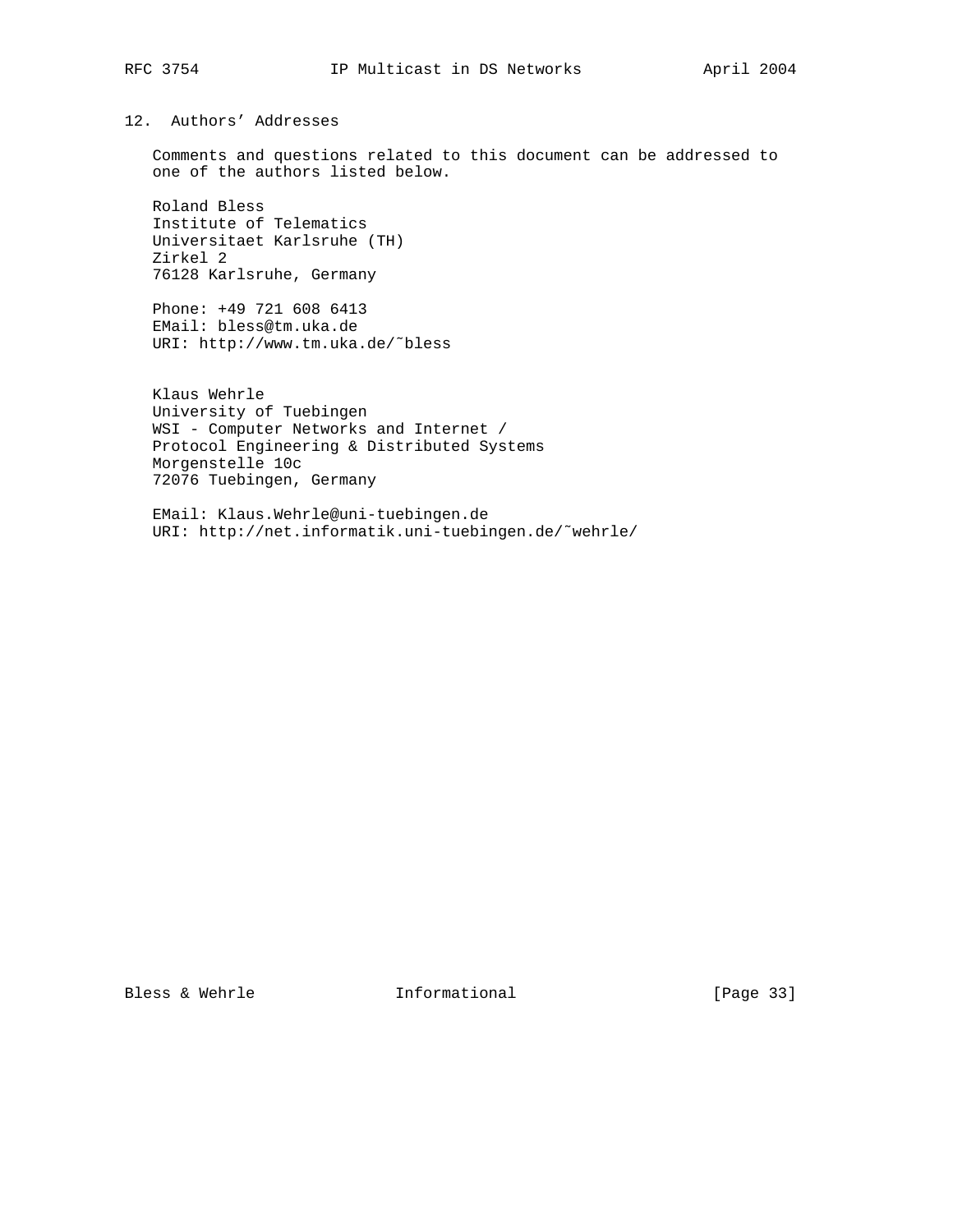# 12. Authors' Addresses

 Comments and questions related to this document can be addressed to one of the authors listed below.

 Roland Bless Institute of Telematics Universitaet Karlsruhe (TH) Zirkel 2 76128 Karlsruhe, Germany

 Phone: +49 721 608 6413 EMail: bless@tm.uka.de URI: http://www.tm.uka.de/˜bless

 Klaus Wehrle University of Tuebingen WSI - Computer Networks and Internet / Protocol Engineering & Distributed Systems Morgenstelle 10c 72076 Tuebingen, Germany

 EMail: Klaus.Wehrle@uni-tuebingen.de URI: http://net.informatik.uni-tuebingen.de/˜wehrle/

Bless & Wehrle **Informational** [Page 33]